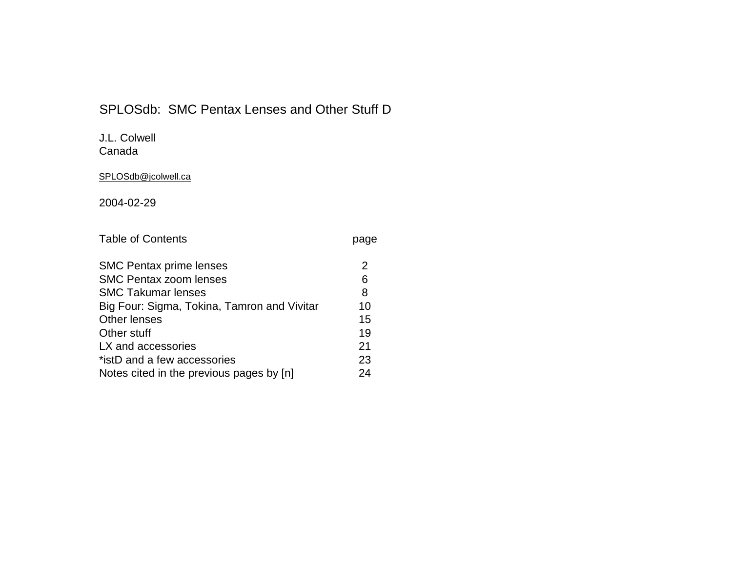# SPLOSdb: SMC Pentax Lenses and Other Stuff D

# J.L. Colwell

Canada

# SPLOSdb@jcolwell.ca

2004-02-29

| <b>Table of Contents</b> | page |
|--------------------------|------|
|--------------------------|------|

| <b>SMC Pentax prime lenses</b>              |    |
|---------------------------------------------|----|
| <b>SMC Pentax zoom lenses</b>               | 6  |
| <b>SMC Takumar lenses</b>                   | 8  |
| Big Four: Sigma, Tokina, Tamron and Vivitar | 10 |
| <b>Other lenses</b>                         | 15 |
| Other stuff                                 | 19 |
| LX and accessories                          | 21 |
| *istD and a few accessories                 | 23 |
| Notes cited in the previous pages by [n]    | 24 |
|                                             |    |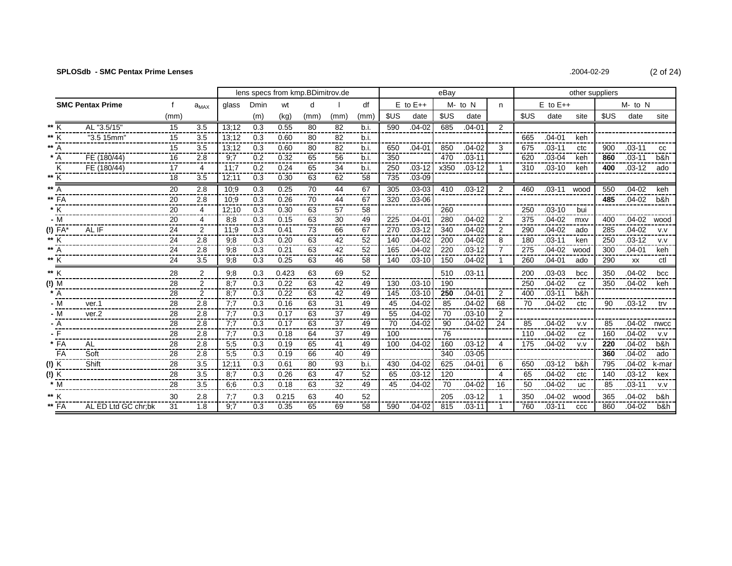| 2004-02-29 | (2 of 24) |
|------------|-----------|
|            |           |

|                                                        |                         |      |                | lens specs from kmp.BDimitrov.de |      |       |      |      |      |      | eBay         |      |            | other suppliers |      |              |           |      |              |       |
|--------------------------------------------------------|-------------------------|------|----------------|----------------------------------|------|-------|------|------|------|------|--------------|------|------------|-----------------|------|--------------|-----------|------|--------------|-------|
|                                                        | <b>SMC Pentax Prime</b> | f    | $a_{MAX}$      | glass                            | Dmin | wt    | d    |      | df   |      | $E$ to $E++$ |      | M- to N    | n.              |      | $E$ to $E++$ |           |      | $M$ - to $N$ |       |
|                                                        |                         | (mm) |                |                                  | (m)  | (kg)  | (mm) | (mm) | (mm  | \$US | date         | \$US | date       |                 | \$US | date         | site      | \$US | date         | site  |
| ** K                                                   | AL "3.5/15"             | 15   | 3.5            | 13:12                            | 0.3  | 0.55  | 80   | 82   | b.i. | 590  | $.04 - 02$   | 685  | $.04 - 01$ | 2               |      |              |           |      |              |       |
| ** K                                                   | "3.5 15mm"              | 15   | 3.5            | 13:12                            | 0.3  | 0.60  | 80   | 82   | b.i. |      |              |      |            |                 | 665  | $.04 - 01$   | keh       |      |              |       |
| $** A$                                                 |                         | 15   | 3.5            | 13:12                            | 0.3  | 0.60  | 80   | 82   | b.i. | 650  | $.04 - 01$   | 850  | $.04 - 02$ | 3               | 675  | $.03 - 11$   | ctc       | 900  | $.03 - 11$   | CC    |
| $* A$                                                  | FE(180/44)              | 16   | 2.8            | 9;7                              | 0.2  | 0.32  | 65   | 56   | b.i. | 350  |              | 470  | $.03 - 11$ |                 | 620  | $.03 - 04$   | keh       | 860  | $.03 - 11$   | b&h   |
| Κ                                                      | FE (180/44)             | 17   | 4              | 11:7                             | 0.2  | 0.24  | 65   | 34   | b.i. | 250  | $.03 - 12$   | x350 | $.03 - 12$ | -1              | 310  | $.03 - 10$   | keh       | 400  | $.03 - 12$   | ado   |
| ** K                                                   |                         | 18   | 3.5            | 12:11                            | 0.3  | 0.30  | 63   | 62   | 58   | 735  | $.03 - 09$   |      |            |                 |      |              |           |      |              |       |
| $**$ A                                                 |                         | 20   | 2.8            | 10:9                             | 0.3  | 0.25  | 70   | 44   | 67   | 305  | $.03 - 03$   | 410  | $.03 - 12$ | 2               | 460  | .03-11       | wood      | 550  | $.04 - 02$   | keh   |
| ** FA                                                  |                         | 20   | 2.8            | 10:9                             | 0.3  | 0.26  | 70   | 44   | 67   | 320  | $.03 - 06$   |      |            |                 |      |              |           | 485  | $.04 - 02$   | b&h   |
| * K                                                    |                         | 20   | $\overline{4}$ | 12:10                            | 0.3  | 0.30  | 63   | 57   | 58   |      |              | 260  |            |                 | 250  | $.03 - 10$   | bui       |      |              |       |
| $-\overline{M}$                                        |                         | 20   | 4              | 8:8                              | 0.3  | 0.15  | 63   | 30   | 49   | 225  | $.04 - 01$   | 280  | $.04 - 02$ | 2               | 375  | $.04 - 02$   | mxy       | 400  | $.04 - 02$   | wood  |
| (!) FA'                                                | AL IF                   | 24   | $\overline{2}$ | 11;9                             | 0.3  | 0.41  | 73   | 66   | 67   | 270  | $.03 - 12$   | 340  | $.04 - 02$ | 2               | 290  | $.04 - 02$   | ado       | 285  | $.04 - 02$   | V.V   |
| ** K                                                   |                         | 24   | 2.8            | 9:8                              | 0.3  | 0.20  | 63   | 42   | 52   | 140  | $.04 - 02$   | 200  | $.04 - 02$ | 8               | 180  | $.03 - 11$   | ken       | 250  | $.03 - 12$   | V.V   |
| ** $\overline{A}$                                      |                         | 24   | 2.8            | 9:8                              | 0.3  | 0.21  | 63   | 42   | 52   | 165  | $.04 - 02$   | 220  | $.03 - 12$ | $\overline{7}$  | 275  | $.04 - 02$   | wood      | 300  | $.04 - 01$   | keh   |
| ** K                                                   |                         | 24   | 3.5            | 9,8                              | 0.3  | 0.25  | 63   | 46   | 58   | 140  | $.03 - 10$   | 150  | $.04 - 02$ |                 | 260  | $.04 - 01$   | ado       | 290  | XX           | ctl   |
| ** K                                                   |                         | 28   | $\overline{2}$ | 9:8                              | 0.3  | 0.423 | 63   | 69   | 52   |      |              | 510  | $.03 - 11$ |                 | 200  | $.03 - 03$   | bcc       | 350  | $.04 - 02$   | bcc   |
| $(!)$ M                                                |                         | 28   | $\mathbf{2}$   | 8:7                              | 0.3  | 0.22  | 63   | 42   | 49   | 130  | $.03 - 10$   | 190  |            |                 | 250  | $.04 - 02$   | CZ        | 350  | $.04 - 02$   | keh   |
| $* A$                                                  |                         | 28   | $\overline{2}$ | 8:7                              | 0.3  | 0.22  | 63   | 42   | 49   | 145  | $.03 - 10$   | 250  | $.04 - 01$ | 2               | 400  | $.03 - 11$   | b&h       |      |              |       |
| - M                                                    | ver.1                   | 28   | 2.8            | 7:7                              | 0.3  | 0.16  | 63   | 31   | 49   | 45   | $.04 - 02$   | 85   | $.04 - 02$ | 68              | 70   | $.04 - 02$   | ctc       | 90   | $.03 - 12$   | trv   |
| - M                                                    | ver.2                   | 28   | 2.8            | 7:7                              | 0.3  | 0.17  | 63   | 37   | 49   | 55   | $.04 - 02$   | 70   | $.03 - 10$ | 2               |      |              |           |      |              |       |
| $- A$                                                  |                         | 28   | 2.8            | 7:7                              | 0.3  | 0.17  | 63   | 37   | 49   | 70   | $.04 - 02$   | 90   | $.04 - 02$ | 24              | 85   | $.04 - 02$   | V.V       | 85   | $.04 - 02$   | nwcc  |
| - F                                                    |                         | 28   | 2.8            | 7:7                              | 0.3  | 0.18  | 64   | 37   | 49   | 100  |              | 76   |            |                 | 110  | $.04 - 02$   | CZ        | 160  | $.04 - 02$   | V.V   |
| * FA                                                   | AL                      | 28   | 2.8            | 5:5                              | 0.3  | 0.19  | 65   | 41   | 49   | 100  | $.04 - 02$   | 160  | $.03 - 12$ | 4               | 175  | $.04 - 02$   | V.V       | 220  | $.04 - 02$   | b&h   |
| FA                                                     | Soft                    | 28   | 2.8            | 5;5                              | 0.3  | 0.19  | 66   | 40   | 49   |      |              | 340  | $.03 - 05$ |                 |      |              |           | 360  | $.04 - 02$   | ado   |
| $(!)$ K                                                | Shift                   | 28   | 3.5            | 12:11                            | 0.3  | 0.61  | 80   | 93   | b.i. | 430  | $.04 - 02$   | 625  | $.04 - 01$ | 6               | 650  | $.03 - 12$   | b&h       | 795  | $.04 - 02$   | k-mar |
| (!) $\frac{\overline{K}}{\ast \frac{\overline{M}}{M}}$ |                         | 28   | 3.5            | 8:7                              | 0.3  | 0.26  | 63   | 47   | 52   | 65   | $.03 - 12$   | 120  |            | 4               | 65   | $.04 - 02$   | ctc       | 140  | $.03 - 12$   | kex   |
|                                                        |                         | 28   | 3.5            | 6:6                              | 0.3  | 0.18  | 63   | 32   | 49   | 45   | $.04 - 02$   | 70   | $.04 - 02$ | 16              | 50   | $.04 - 02$   | <b>uc</b> | 85   | $.03 - 11$   | V.V   |
| ** K                                                   |                         | 30   | 2.8            | 7:7                              | 0.3  | 0.215 | 63   | 40   | 52   |      |              | 205  | $.03 - 12$ |                 | 350  | $.04 - 02$   | wood      | 365  | $.04 - 02$   | b&h   |
| $**$ FA                                                | AL ED Ltd GC chr;bk     | 31   | 1.8            | 9:7                              | 0.3  | 0.35  | 65   | 69   | 58   | 590  | $.04 - 02$   | 815  | $.03 - 11$ | $\mathbf 1$     | 760  | $.03 - 11$   | CCC       | 860  | $.04 - 02$   | b&h   |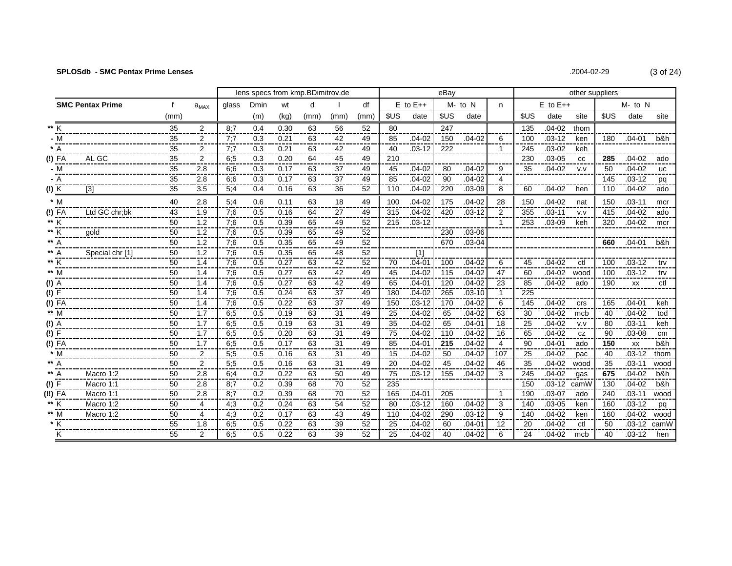| .2004-02-29 | $(3 \text{ of } 2)$ |
|-------------|---------------------|
|-------------|---------------------|

|                   |                         |                 |                |            | lens specs from kmp.BDimitrov.de |              |           |                 |          |                 |                          | eBav      |                          |                |          |                          | other suppliers |          |                          |             |
|-------------------|-------------------------|-----------------|----------------|------------|----------------------------------|--------------|-----------|-----------------|----------|-----------------|--------------------------|-----------|--------------------------|----------------|----------|--------------------------|-----------------|----------|--------------------------|-------------|
|                   | <b>SMC Pentax Prime</b> | f               | $a_{MAX}$      | glass      | Dmin                             | wt           | d         |                 | df       |                 | $E$ to $E++$             |           | $M - to N$               | n              |          | $E$ to $E++$             |                 |          | M- to N                  |             |
|                   |                         | (mm)            |                |            | (m)                              | (kg)         | (mm)      | (mm)            | (mm)     | <b>SUS</b>      | date                     | \$US      | date                     |                | \$US     | date                     | site            | \$US     | date                     | site        |
| ** K              |                         | 35              | $\overline{2}$ | 8:7        | 0.4                              | 0.30         | 63        | 56              | 52       | 80              |                          | 247       |                          |                | 135      | $.04 - 02$               | thom            |          |                          |             |
| - M               |                         | 35              | 2              | 7:7        | 0.3                              | 0.21         | 63        | 42              | 49       | 85              | $.04 - 02$               | 150       | $.04 - 02$               | 6              | 100      | $.03 - 12$               | ken             | 180      | .04-01                   | b&h.        |
|                   |                         | 35              | 2              | 7:7        | 0.3                              | 0.21         | 63        | 42              | 49       | 40              | $.03 - 12$               | 222       |                          | -1             | 245      | $.03 - 02$               | keh             |          |                          |             |
| $(!)$ FA          | AL GC                   | 35              | $\overline{2}$ | 6:5        | 0.3                              | 0.20         | 64        | 45              | 49       | 210             |                          |           |                          |                | 230      | $.03 - 05$               | cc              | 285      | $.04 - 02$               | ado         |
| $-M$              |                         | 35<br>---       | 2.8            | 6:6        | 0.3                              | 0.17         | 63        | 37              | 49       | 45              | $.04 - 02$               | 80        | $.04 - 02$               | 9              | 35       | $.04 - 02$               | V.V             | 50       | $.04 - 02$               | <b>UC</b>   |
| - A               |                         | 35              | 2.8            | 6:6        | 0.3                              | 0.17         | 63        | 37              | 49       | 85              | $.04 - 02$               | 90        | $.04 - 02$               | 4              |          |                          |                 | 145      | $.03 - 12$               | pq          |
| (!) K             | [3]                     | 35              | 3.5            | 5:4        | 0.4                              | 0.16         | 63        | $\overline{36}$ | 52       | 110             | $.04 - 02$               | 220       | $.03 - 09$               | 8              | 60       | $.04 - 02$               | hen             | 110      | $.04 - 02$               | ado         |
| $*$ M             |                         | 40              | 2.8            | 5:4        | 0.6                              | 0.11         | 63        | 18              | 49       | 100             | $.04 - 02$               | 175       | $.04 - 02$               | 28             | 150      | $.04 - 02$               | nat             | 150      | $.03 - 11$               | mcr         |
| $(!)$ FA          | Ltd GC chr:bk           | $\overline{43}$ | 1.9            | 7:6        | 0.5                              | 0.16         | 64        | 27              | 49       | 315             | $.04 - 02$               | 420       | $.03 - 12$               | 2              | 355      | $.03 - 11$               | V.V             | 415      | $.04 - 02$               | ado         |
| ** K              |                         | 50<br>----      | 1.2            | 7;6        | 0.5                              | 0.39         | 65        | 49              | 52       | 215             | $.03 - 12$               |           |                          | -1             | 253      | $.03 - 09$               | keh             | 320      | $.04 - 02$               | mcr         |
| ** K              | qold                    | 50              | 1.2            | 7:6        | 0.5                              | 0.39         | 65        | 49              | 52       |                 |                          | 230       | $.03 - 06$               |                |          |                          |                 |          |                          |             |
|                   |                         | 50              | 1.2            | 7:6        | 0.5                              | 0.35         | 65        | 49              | 52       |                 |                          | 670       | $.03 - 04$               |                |          |                          |                 | 660      | .04-01                   | b&h         |
|                   | Special chr [1]         | 50              | 1.2            | 7:6        | 0.5                              | 0.35         | 65        | 48              | 52       |                 | [1]                      |           |                          |                |          |                          |                 |          |                          |             |
| ** K              |                         | 50              | 1.4            | 7:6        | 0.5                              | 0.27         | 63        | 42              | 52       | 70              | $.04 - 01$               | 100       | $.04 - 02$               | 6              | 45       | $.04 - 02$               | ctl             | 100      | $.03 - 12$               | trv         |
| ** M              |                         | 50              | 1.4            | 7:6        | 0.5                              | 0.27         | 63        | 42              | 49       | 45              | $.04 - 02$               | 115       | $.04 - 02$               | 47             | 60       | $.04 - 02$               | wood            | 100      | $.03 - 12$               | trv         |
| $(!)$ A           |                         | 50<br>---       | 1.4            | 7:6        | 0.5                              | 0.27         | 63        | 42              | 49       | 65              | $.04 - 01$               | 120       | $.04 - 02$               | 23             | 85       | $.04 - 02$               | ado             | 190      | XX                       | ctl         |
| (!) F             |                         | 50              | 1.4            | 7;6        | 0.5                              | 0.24         | 63        | 37              | 49       | 180             | $.04 - 02$               | 265       | $.03 - 10$               | $\overline{1}$ | 225      |                          |                 |          |                          |             |
| $(!)$ FA          |                         | 50<br>---       | 1.4            | 7;6        | 0.5                              | 0.22         | 63        | 37              | 49       | 150             | $.03 - 12$               | 170       | $.04 - 02$               | 6              | 145      | $.04 - 02$               | crs             | 165      | $.04 - 01$               | keh         |
| ** M              |                         | 50              | 1.7            | 6,5        | 0.5                              | 0.19         | 63        | 31              | 49       | 25              | $.04 - 02$               | 65        | $.04 - 02$               | 63             | 30       | $.04 - 02$               | mcb             | 40       | $.04 - 02$               | tod         |
| (!) A             |                         | 50<br>50        | 1.7<br>1.7     | 6:5        | 0.5<br>0.5                       | 0.19<br>0.20 | 63<br>63  | 31<br>31        | 49<br>49 | 35<br>75        | $.04 - 02$<br>$.04 - 02$ | 65<br>110 | $.04 - 01$<br>$.04 - 02$ | 18<br>16       | 25<br>65 | $.04 - 02$<br>$.04 - 02$ | V.V             | 80<br>90 | $.03 - 11$<br>$.03 - 08$ | keh         |
| (!) F<br>$(!)$ FA |                         | 50              | 1.7            | 6,5<br>6:5 | 0.5                              | 0.17         | 63        | 31              | 49       | 85              | $.04 - 01$               | 215       | $.04 - 02$               | 4              | 90       | $.04 - 01$               | CZ<br>ado       | 150      | <b>XX</b>                | cm<br>b&h   |
| $*$ M             |                         | 50              | $\overline{2}$ | 5:5        | 0.5                              | 0.16         | 63        | 31              | 49       | 15              | $.04 - 02$               | 50        | $.04 - 02$               | 107            | 25       | $.04 - 02$               | pac             | 40       | $.03 - 12$               | thom        |
|                   |                         | 50              | $\overline{2}$ | 5:5        | 0.5                              | 0.16         | 63        | 31              | 49       | 20              | $.04 - 02$               | 45        | $.04 - 02$               | 46             | 35       | $.04 - 02$               | wood            | 35       | $.03 - 11$               | wood        |
| A                 | Macro 1:2               | ---<br>50       | 2.8            | 6:4        | 0.2                              | 0.22         | ---<br>63 | 50              | 49       | 75              | $.03 - 12$               | 155       | $.04 - 02$               | 3              | 245      | $.04 - 02$               | gas             | 675      | $.04 - 02$               | b&h         |
| (!) F             | Macro 1:1               | 50              | 2.8            | 8:7        | 0.2                              | 0.39         | 68        | 70              | 52       | $\frac{1}{235}$ |                          |           |                          |                | 150      | $.03 - 12$               | camW            | 130      | $.04 - 02$               | b&h         |
| $(!!)$ FA         | Macro 1:1               | ---<br>50       | 2.8            | 8:7        | 0.2                              | 0.39         | 68        | 70              | 52       | 165             | $.04 - 01$               | 205       |                          |                | 190      | $.03 - 07$               | ado             | 240      | $.03 - 11$               | wood        |
| ** K              | Macro 1:2               | 50              | 4              | 4,3        | 0.2                              | 0.24         | 63        | 54              | 52       | 80              | $.03 - 12$               | 160       | $.04 - 02$               | 3              | 140      | $.03 - 05$               | ken             | 160      | $.03 - 12$               | pq          |
| ** M              | Macro 1:2               | 50              | 4              | 4;3        | 0.2                              | 0.17         | 63        | 43              | 49       | 110             | $.04 - 02$               | 290       | $.03 - 12$               | 9              | 140      | $.04 - 02$               | ken             | 160      | $.04 - 02$               | wood        |
| * K<br>---        |                         | 55              | 1.8            | 6;5        | 0.5                              | 0.22         | 63        | 39              | 52       | 25              | $.04 - 02$               | 60        | $.04 - 01$               | 12             | 20       | $.04 - 02$               | ctl             | 50       |                          | .03-12 camW |
| Κ                 |                         | 55              | $\overline{2}$ | 6:5        | 0.5                              | 0.22         | 63        | 39              | 52       | 25              | $.04 - 02$               | 40        | $.04 - 02$               | 6              | 24       | $.04 - 02$               | mcb             | 40       | $.03 - 12$               | hen         |

 $24)$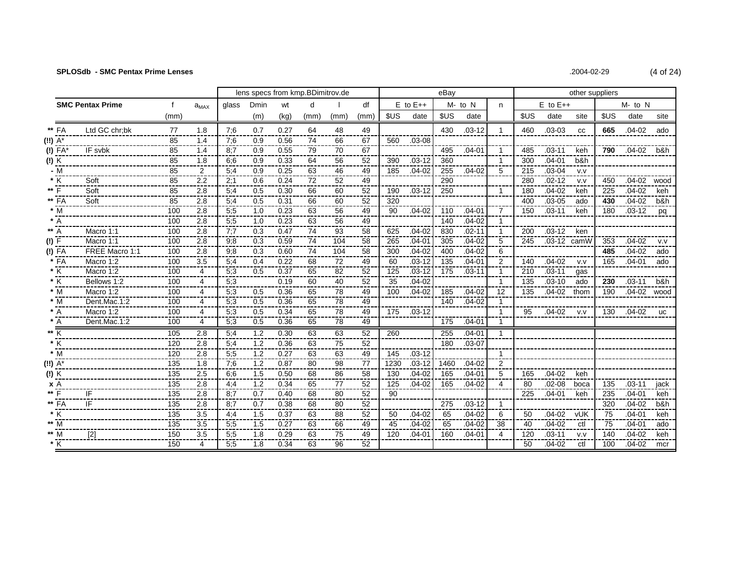| .2004-02-29 | (4 of 24) |
|-------------|-----------|
|-------------|-----------|

|                                                              |                         |              | lens specs from kmp.BDimitrov.de |       |      |      |      |      |      |            |              | other suppliers |            |                |      |              |      |            |                |           |
|--------------------------------------------------------------|-------------------------|--------------|----------------------------------|-------|------|------|------|------|------|------------|--------------|-----------------|------------|----------------|------|--------------|------|------------|----------------|-----------|
|                                                              | <b>SMC Pentax Prime</b> | $\mathbf{f}$ | $a_{MAX}$                        | glass | Dmin | wt   | d    |      | df   |            | $E$ to $E++$ |                 | M- to N    | n              |      | $E$ to $E++$ |      |            | $M-$ to $N$    |           |
|                                                              |                         | (mm)         |                                  |       | (m)  | (kg) | (mm) | (mm) | (mm) | <b>SUS</b> | date         | \$US            | date       |                | \$US | date         | site | <b>SUS</b> | date           | site      |
| ** FA                                                        | Ltd GC chr:bk           | 77           | 1.8                              | 7:6   | 0.7  | 0.27 | 64   | 48   | 49   |            |              | 430             | $.03 - 12$ | $\overline{1}$ | 460  | $.03 - 03$   | CC   | 665        | $.04 - 02$     | ado       |
| (!!) A*                                                      |                         | 85           | 1.4                              | 7:6   | 0.9  | 0.56 | 74   | 66   | 67   | 560        | $.03 - 08$   |                 |            |                |      |              |      |            |                |           |
| (!) FA*                                                      | IF svbk                 | 85           | 1.4                              | 8:7   | 0.9  | 0.55 | 79   | 70   | 67   |            |              | 495             | $.04 - 01$ | $\overline{1}$ | 485  | $.03 - 11$   | keh  |            | 790 .04-02 b&h |           |
| $\frac{1}{2}$                                                |                         | 85           | 1.8                              | 6:6   | 0.9  | 0.33 | 64   | 56   | 52   | 390        | $.03 - 12$   | 360             |            | $\mathbf{1}$   | 300  | $.04 - 01$   | b&h  |            |                |           |
| $- M$                                                        |                         | 85           | $\overline{2}$                   | 5:4   | 0.9  | 0.25 | 63   | 46   | 49   | 185        | $.04 - 02$   | 255             | $.04 - 02$ | 5              | 215  | $.03 - 04$   | V.V  |            |                |           |
| $*$ K                                                        | Soft                    | 85           | 2.2                              | 2:1   | 0.6  | 0.24 | 72   | 52   | 49   |            |              | 290             |            |                | 280  | $.02 - 12$   | V.V  | 450        | $.04 - 02$     | wood      |
| $**$ F                                                       | Soft                    | 85           | 2.8                              | 5:4   | 0.5  | 0.30 | 66   | 60   | 52   | 190        | $.03 - 12$   | 250             |            | $\overline{1}$ | 180  | $.04 - 02$   | keh  | 225        | $.04 - 02$     | keh       |
| $**$ FA                                                      | Soft                    | 85           | 2.8                              | 5:4   | 0.5  | 0.31 | 66   | 60   | 52   | 320        |              |                 |            |                | 400  | $.03 - 05$   | ado  | 430        | $.04 - 02$     | b&h       |
| $*$ M                                                        |                         | 100          | 2.8                              | 5;5   | 1.0  | 0.23 | 63   | 56   | 49   | 90         | $.04 - 02$   | 110             | $.04 - 01$ | 7              | 150  | $.03 - 11$   | keh  | 180        | $.03 - 12$     | pq        |
| $*$ A                                                        |                         | 100          | 2.8                              | 5;5   | 1.0  | 0.23 | 63   | 56   | 49   |            |              | 140             | $.04 - 02$ | $\mathbf{1}$   |      |              |      |            |                |           |
| $** A$                                                       | Macro 1:1               | 100          | 2.8                              | 7:7   | 0.3  | 0.47 | 74   | 93   | 58   | 625        | $.04 - 02$   | 830             | $.02 - 11$ | -1             | 200  | $.03 - 12$   | ken  |            |                |           |
| (!) F                                                        | Macro 1:1               | 100          | 2.8                              | 9;8   | 0.3  | 0.59 | 74   | 104  | 58   | 265        | $.04 - 01$   | 305             | $.04 - 02$ | 5              | 245  | .03-12 camW  |      | 353        | $.04 - 02$     | V.V       |
| (!) FA                                                       | FREE Macro 1:1          | 100          | 2.8                              | 9,8   | 0.3  | 0.60 | 74   | 104  | 58   | 300        | $.04 - 02$   | 400             | $.04 - 02$ | 6              |      |              |      | 485        | $.04 - 02$     | ado       |
| * FA                                                         | Macro 1:2               | 100          | 3.5                              | 5:4   | 0.4  | 0.22 | 68   | 72   | 49   | 60         | $.03 - 12$   | 135             | $.04 - 01$ | 2              | 140  | $.04 - 02$   | V.V  | 165        | $.04 - 01$     | ado       |
| $^\star$ K                                                   | Macro 1:2               | 100          | 4                                | 5;3   | 0.5  | 0.37 | 65   | 82   | 52   | 125        | $.03 - 12$   | 175             | $.03 - 11$ | -1             | 210  | $.03 - 11$   | gas  |            |                |           |
| $\star$ $\overline{\rm K}$                                   | Bellows 1:2             | 100          | 4                                | 5;3   |      | 0.19 | 60   | 40   | 52   | 35         | $.04 - 02$   |                 |            | -1             | 135  | $.03 - 10$   | ado  | 230        | $.03 - 11$     | b&h       |
| $*$ M                                                        | Macro 1:2               | 100          | 4                                | 5:3   | 0.5  | 0.36 | 65   | 78   | 49   | 100        | $.04 - 02$   | 185             | $.04 - 02$ | 12             | 135  | $.04 - 02$   | thom | 190        | $.04 - 02$     | wood      |
| $*$ M                                                        | Dent.Mac.1:2            | 100          | 4                                | 5:3   | 0.5  | 0.36 | 65   | 78   | 49   |            |              | 140             | $.04 - 02$ | -1             |      |              |      |            |                |           |
| $* A$                                                        | Macro 1:2               | 100          | 4                                | 5:3   | 0.5  | 0.34 | 65   | 78   | 49   | 175        | $.03 - 12$   |                 |            | $\overline{1}$ | 95   | $.04 - 02$   | V.V  | 130        | $.04 - 02$     | <b>UC</b> |
| $* A$                                                        | Dent.Mac.1:2            | 100          | 4                                | 5;3   | 0.5  | 0.36 | 65   | 78   | 49   |            |              | 175             | $.04 - 01$ | $\overline{1}$ |      |              |      |            |                |           |
| $\begin{array}{c}\n\ast \overline{K} \\ \ast K\n\end{array}$ |                         | 105          | 2.8                              | 5,4   | 1.2  | 0.30 | 63   | 63   | 52   | 260        |              | 255             | $.04 - 01$ |                |      |              |      |            |                |           |
|                                                              |                         | 120          | 2.8                              | 5,4   | 1.2  | 0.36 | 63   | 75   | 52   |            |              | 180             | $.03 - 07$ |                |      |              |      |            |                |           |
| $*$ M                                                        |                         | 120          | 2.8                              | 5,5   | 1.2  | 0.27 | 63   | 63   | 49   | 145        | $.03 - 12$   |                 |            |                |      |              |      |            |                |           |
| (!!) A*                                                      |                         | 135          | 1.8                              | 7:6   | 1.2  | 0.87 | 80   | 98   | 77   | 1230       | $.03 - 12$   | 1460            | $.04 - 02$ | 2              |      |              |      |            |                |           |
| (!) K                                                        |                         | 135          | 2.5                              | 6:6   | 1.5  | 0.50 | 68   | 86   | 58   | 130        | $.04 - 02$   | 165             | $.04 - 01$ | 5              | 165  | $.04 - 02$   | keh  |            |                |           |
| <b>x</b> A                                                   |                         | 135          | 2.8                              | 4:4   | 1.2  | 0.34 | 65   | 77   | 52   | 125        | $.04 - 02$   | 165             | $.04 - 02$ | 4              | 80   | $.02 - 08$   | boca | 135        | $.03 - 11$     | jack      |
| ** F                                                         | IF                      | 135          | 2.8                              | 8:7   | 0.7  | 0.40 | 68   | 80   | 52   | 90         |              |                 |            |                | 225  | $.04 - 01$   | keh  | 235        | $.04 - 01$     | keh       |
| $**$ FA                                                      | IF                      | 135          | 2.8                              | 8:7   | 0.7  | 0.38 | 68   | 80   | 52   |            |              | 275             | $.03 - 12$ | $\overline{1}$ |      |              |      | 320        | $.04 - 02$     | b&h       |
| $^{\star}$ K                                                 |                         | 135          | 3.5                              | 4:4   | 1.5  | 0.37 | 63   | 88   | 52   | 50         | $.04 - 02$   | 65              | $.04 - 02$ | 6              | 50   | $.04 - 02$   | vUK  | 75         | $.04 - 01$     | keh       |
| $** \overline{M}$                                            |                         | 135          | 3.5                              | 5;5   | 1.5  | 0.27 | 63   | 66   | 49   | 45         | $.04 - 02$   | 65              | $.04 - 02$ | 38             | 40   | $.04 - 02$   | ctl  | 75         | $.04 - 01$     | ado       |
| $**$ M                                                       | $[2]$                   | 150          | 3.5                              | 5:5   | 1.8  | 0.29 | 63   | 75   | 49   | 120        | $.04 - 01$   | 160             | $.04 - 01$ | 4              | 120  | $.03 - 11$   | V.V  | 140        | $.04 - 02$     | keh       |
| $* \overline{K}$                                             |                         | 150          | 4                                | 5;5   | 1.8  | 0.34 | 63   | 96   | 52   |            |              |                 |            |                | 50   | $.04 - 02$   | ctl  | 100        | $.04 - 02$     | mcr       |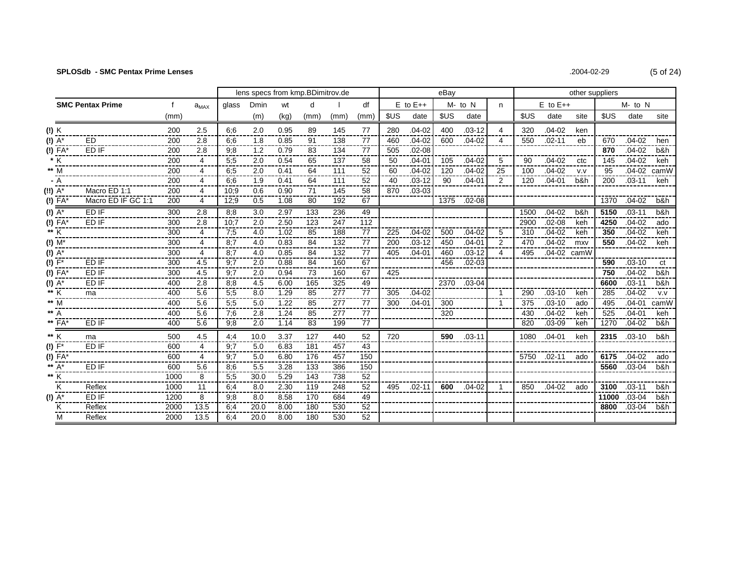| .2004-02-29 | $(5 \text{ of } 2)$ |
|-------------|---------------------|
|             |                     |

|                         |                         |             |           | lens specs from kmp.BDimitrov.de |      |      |      |      |      |      | eBay         |            |             | other suppliers |      |              |      |            |              |      |
|-------------------------|-------------------------|-------------|-----------|----------------------------------|------|------|------|------|------|------|--------------|------------|-------------|-----------------|------|--------------|------|------------|--------------|------|
|                         | <b>SMC Pentax Prime</b> | $\mathbf f$ | $a_{MAX}$ | glass                            | Dmin | wt   | d    |      | df   |      | $E$ to $E++$ |            | M- to N     | n.              |      | $E$ to $E++$ |      |            | $M$ - to $N$ |      |
|                         |                         | (mm)        |           |                                  | (m)  | (kg) | (mm) | (mm) | (mm) | \$US | date         | <b>SUS</b> | date        |                 | \$US | date         | site | <b>SUS</b> | date         | site |
| (!) K                   |                         | 200         | 2.5       | 6:6                              | 2.0  | 0.95 | 89   | 145  | 77   | 280  | $.04 - 02$   | 400        | $.03 - 12$  | 4               | 320  | $.04 - 02$   | ken  |            |              |      |
| $(!) A^*$               | <b>ED</b>               | 200         | 2.8       | 6.6                              | 1.8  | 0.85 | 91   | 138  | 77   | 460  | $.04 - 02$   | 600        | $.04 - 02$  | 4               | 550  | $.02 - 11$   | eb   | 670        | $.04 - 02$   | hen  |
| $(1)$ FA*               | ED IF                   | 200         | 2.8       | 9:8                              | 1.2  | 0.79 | 83   | 134  | 77   | 505  | $.02 - 08$   |            |             |                 |      |              |      | 870        | $.04 - 02$   | b&h  |
| $\frac{1}{K}$           |                         | 200         | 4         | 5;5                              | 2.0  | 0.54 | 65   | 137  | 58   | 50   | $.04 - 01$   | 105        | $.04 - 02$  | 5               | 90   | $.04 - 02$   | ctc  | 145        | $.04 - 02$   | keh  |
| $** \overline{M}$       |                         | 200         | 4         | 6.5                              | 2.0  | 0.41 | 64   | 111  | 52   | 60   | $.04 - 02$   | 120        | $.04 - 02$  | 25              | 100  | $.04 - 02$   | V.V  | 95         | $.04 - 02$   | camW |
| - A                     |                         | 200         | 4         | 6:6                              | 1.9  | 0.41 | 64   | 111  | 52   | 40   | $.03 - 12$   | 90         | $.04 - 01$  | 2               | 120  | $.04 - 01$   | b&h  | 200        | $.03 - 11$   | keh  |
| $(!!)$ $\overline{A^*}$ | Macro ED 1:1            | 200         | 4         | 10:9                             | 0.6  | 0.90 | 71   | 145  | 58   | 870  | $.03 - 03$   |            |             |                 |      |              |      |            |              |      |
| (!) FA*                 | Macro ED IF GC 1:1      | 200         | 4         | 12:9                             | 0.5  | 1.08 | 80   | 192  | 67   |      |              |            | 1375 .02-08 |                 |      |              |      | 1370       | $.04 - 02$   | b&h  |
| $\overline{A^*}$        | ED IF                   | 300         | 2.8       | 8:8                              | 3.0  | 2.97 | 133  | 236  | 49   |      |              |            |             |                 | 1500 | $.04 - 02$   | b&h  | 5150       | $.03 - 11$   | b&h  |
| $(I)$ $\overline{FA^*}$ | ED IF                   | 300         | 2.8       | 10:7                             | 2.0  | 2.50 | 123  | 247  | 112  |      |              |            |             |                 | 2900 | $.02 - 08$   | keh  | 4250       | $.04 - 02$   | ado  |
| $\frac{1}{1}$           |                         | 300         | 4         | 7:5                              | 4.0  | 1.02 | 85   | 188  | 77   | 225  | $.04 - 02$   | 500        | $.04 - 02$  | 5               | 310  | $.04 - 02$   | keh  | 350        | $.04 - 02$   | keh  |
| $\overline{M^*}$        |                         | 300         | 4         | 8:7                              | 4.0  | 0.83 | 84   | 132  | 77   | 200  | $.03 - 12$   | 450        | $.04 - 01$  | 2               | 470  | $.04 - 02$   | mxy  | 550        | $.04 - 02$   | keh  |
| $(!) A^*$               |                         | 300         | 4         | 8:7                              | 4.0  | 0.85 | 84   | 132  | 77   | 405  | $.04 - 01$   | 460        | $.03 - 12$  | 4               | 495  | .04-02 camW  |      |            |              |      |
| $(!)$ $F^*$             | ED IF                   | 300         | 4.5       | 9:7                              | 2.0  | 0.88 | 84   | 160  | 67   |      |              | 456        | $.02 - 03$  |                 |      |              |      | 590        | $.03 - 10$   | ct   |
| $(!)$ FA*               | ED IF                   | 300         | 4.5       | 9;7                              | 2.0  | 0.94 | 73   | 160  | 67   | 425  |              |            |             |                 |      |              |      | 750        | $.04 - 02$   | b&h  |
| (!) $A^*$               | ED IF                   | 400         | 2.8       | 8:8                              | 4.5  | 6.00 | 165  | 325  | 49   |      |              | 2370       | $.03 - 04$  |                 |      |              |      | 6600       | $.03 - 11$   | b&h  |
| ** K                    | ma                      | 400         | 5.6       | 5:5                              | 8.0  | 1.29 | 85   | 277  | 77   | 305  | $.04 - 02$   |            |             | $\mathbf{1}$    | 290  | $.03 - 10$   | keh  | 285        | $.04 - 02$   | V.V  |
| $**$ M                  |                         | 400         | 5.6       | 5:5                              | 5.0  | 1.22 | 85   | 277  | 77   | 300  | $.04 - 01$   | 300        |             | $\mathbf{1}$    | 375  | $.03 - 10$   | ado  | 495        | $.04 - 01$   | camW |
| ** $\overline{A}$       |                         | 400         | 5.6       | 7:6                              | 2.8  | 1.24 | 85   | 277  | 77   |      |              | 320        |             |                 | 430  | $.04 - 02$   | keh  | 525        | $.04 - 01$   | keh  |
| ** $FA*$                | ED IF                   | 400         | 5.6       | 9:8                              | 2.0  | 1.14 | 83   | 199  | 77   |      |              |            |             |                 | 820  | $.03 - 09$   | keh  | 1270       | $.04 - 02$   | b&h  |
| ** K                    | ma                      | 500         | 4.5       | 4,4                              | 10.0 | 3.37 | 127  | 440  | 52   | 720  |              | 590        | $.03 - 11$  |                 | 1080 | $.04 - 01$   | keh  | 2315       | $.03 - 10$   | b&h  |
| $(!) F^*$               | ED IF                   | 600         | 4         | 9:7                              | 5.0  | 6.83 | 181  | 457  | 43   |      |              |            |             |                 |      |              |      |            |              |      |
| $\overline{P(A)}$       |                         | 600         | 4         | 9,7                              | 5.0  | 6.80 | 176  | 457  | 150  |      |              |            |             |                 |      | 5750 .02-11  | ado  | 6175       | $.04 - 02$   | ado  |
| ** $A^*$                | ED IF                   | 600         | 5.6       | 8,6                              | 5.5  | 3.28 | 133  | 386  | 150  |      |              |            |             |                 |      |              |      |            | 5560 .03-04  | b&h  |
| $**$ K                  |                         | 1000        | 8         | 5:5                              | 30.0 | 5.29 | 143  | 738  | 52   |      |              |            |             |                 |      |              |      |            |              |      |
| Κ                       | Reflex                  | 1000        | 11        | 6:4                              | 8.0  | 2.30 | 119  | 248  | 52   | 495  | $.02 - 11$   | 600        | $.04 - 02$  | $\mathbf{1}$    | 850  | .04-02       | ado  | 3100       | $.03 - 11$   | b&h  |
| $(!) A^*$               | ED IF                   | 1200        | 8         | 9:8                              | 8.0  | 8.58 | 170  | 684  | 49   |      |              |            |             |                 |      |              |      |            | 11000 .03-04 | b&h  |
| ĸ                       | Reflex                  | 2000        | 13.5      | 6:4                              | 20.0 | 8.00 | 180  | 530  | 52   |      |              |            |             |                 |      |              |      |            | 8800 .03-04  | b&h  |
| м                       | Reflex                  | 2000        | 13.5      | 6.4                              | 20.0 | 8.00 | 180  | 530  | 52   |      |              |            |             |                 |      |              |      |            |              |      |

 $24)$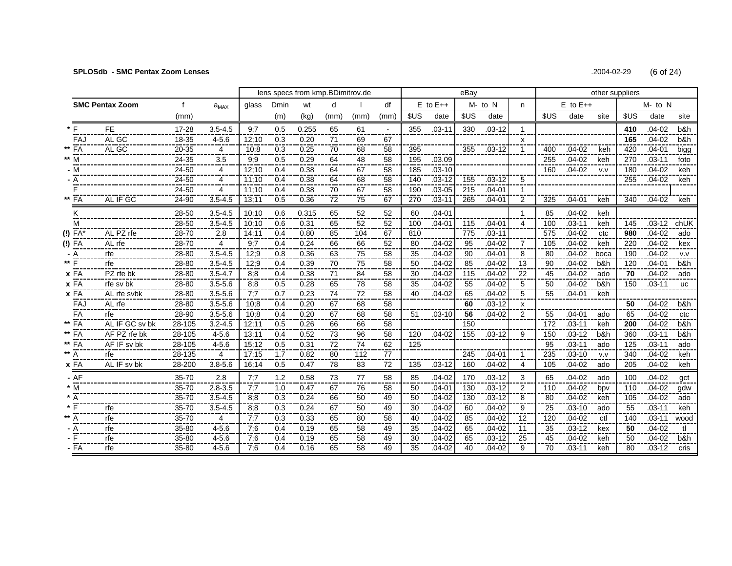# **SPLOSdb - SMC Pentax Zoom Lenses** .2004-02-29 (6 of 24)

|             |                        |           | lens specs from kmp.BDimitrov.de |       |      |       |      |      |                 |      | eBay         |      |            |                |      |              | other suppliers |      |            |           |  |  |  |
|-------------|------------------------|-----------|----------------------------------|-------|------|-------|------|------|-----------------|------|--------------|------|------------|----------------|------|--------------|-----------------|------|------------|-----------|--|--|--|
|             | <b>SMC Pentax Zoom</b> |           | $a_{MAX}$                        | glass | Dmin | wt    | d    |      | df              |      | $E$ to $E++$ |      | $M - to N$ | n              |      | $E$ to $E++$ |                 |      | $M - to N$ |           |  |  |  |
|             |                        | (mm)      |                                  |       | (m)  | (kg)  | (mm) | (mm) | (mm             | \$US | date         | \$US | date       |                | \$US | date         | site            | \$US | date       | site      |  |  |  |
|             | <b>FE</b>              | $17 - 28$ | $3.5 - 4.5$                      | 9:7   | 0.5  | 0.255 | 65   | 61   | $\mathbf{r}$    | 355  | $.03 - 11$   | 330  | $.03 - 12$ | $\mathbf{1}$   |      |              |                 | 410  | $.04 - 02$ | b&h       |  |  |  |
| FAJ         | AL GC                  | 18-35     | $4 - 5.6$                        | 12:10 | 0.3  | 0.20  | 71   | 69   | 67              |      |              |      |            | x              |      |              |                 | 165  | $.04 - 02$ | b&h       |  |  |  |
| ** FA       | AL GC                  | 20-35     | 4                                | 10:8  | 0.3  | 0.25  | 70   | 68   | 58              | 395  |              | 355  | $.03 - 12$ | 1              | 400  | $.04 - 02$   | keh             | 420  | $.04 - 01$ | bigg      |  |  |  |
| ** M        |                        | 24-35     | 3.5                              | 9,9   | 0.5  | 0.29  | 64   | 48   | 58              | 195  | .03.09       |      |            |                | 255  | $.04 - 02$   | keh             | 270  | $.03 - 11$ | foto      |  |  |  |
| - M         |                        | 24-50     | 4                                | 12:10 | 0.4  | 0.38  | 64   | 67   | 58              | 185  | $.03 - 10$   |      |            |                | 160  | $.04 - 02$   | V.V             | 180  | $.04 - 02$ | keh       |  |  |  |
| - A         |                        | 24-50     | 4                                | 11:10 | 0.4  | 0.38  | 64   | 68   | 58              | 140  | $.03 - 12$   | 155  | $.03 - 12$ | 5              |      |              |                 | 255  | $.04 - 02$ | keh       |  |  |  |
|             |                        | 24-50     | 4                                | 11:10 | 0.4  | 0.38  | 70   | 67   | 58              | 190  | $.03 - 05$   | 215  | $.04 - 01$ | $\mathbf{1}$   |      |              |                 |      |            |           |  |  |  |
| ** FA       | AL IF GC               | 24-90     | $3.5 - 4.5$                      | 13:11 | 0.5  | 0.36  | 72   | 75   | 67              | 270  | $.03 - 11$   | 265  | $.04 - 01$ | 2              | 325  | $.04 - 01$   | keh             | 340  | $.04 - 02$ | keh       |  |  |  |
| ĸ           |                        | 28-50     | $3.5 - 4.5$                      | 10:10 | 0.6  | 0.315 | 65   | 52   | 52              | 60   | $.04 - 01$   |      |            | $\mathbf{1}$   | 85   | $.04 - 02$   | keh             |      |            |           |  |  |  |
| м           |                        | 28-50     | $3.5 - 4.5$                      | 10:10 | 0.6  | 0.31  | 65   | 52   | 52              | 100  | $.04 - 01$   | 115  | $.04 - 01$ | 4              | 100  | $.03 - 11$   | keh             | 145  | $.03 - 12$ | chUK      |  |  |  |
| (!) FA*     | AL PZ rfe              | 28-70     | 2.8                              | 14:11 | 0.4  | 0.80  | 85   | 104  | 67              | 810  |              | 775  | $.03 - 11$ |                | 575  | $.04 - 02$   | ctc             | 980  | $.04 - 02$ | ado       |  |  |  |
| (!) FA      | AL rfe                 | 28-70     | 4                                | 9;7   | 0.4  | 0.24  | 66   | 66   | 52              | 80   | $.04 - 02$   | 95   | $.04 - 02$ | 7              | 105  | $.04 - 02$   | keh             | 220  | $.04 - 02$ | kex       |  |  |  |
| - A         | rfe                    | 28-80     | $3.5 - 4.5$                      | 12;9  | 0.8  | 0.36  | 63   | 75   | 58              | 35   | $.04 - 02$   | 90   | $.04 - 01$ | 8              | 80   | $.04 - 02$   | boca            | 190  | $.04 - 02$ | V.V       |  |  |  |
| ** F        | rfe                    | 28-80     | $3.5 - 4.5$                      | 12:9  | 0.4  | 0.39  | 70   | 75   | 58              | 50   | $.04 - 02$   | 85   | $.04 - 02$ | 13             | 90   | $.04 - 02$   | b&h             | 120  | $.04 - 01$ | b&h       |  |  |  |
| <b>x</b> FA | PZ rfe bk              | 28-80     | $3.5 - 4.7$                      | 8:8   | 0.4  | 0.38  | 71   | 84   | 58              | 30   | $.04 - 02$   | 115  | .04-02     | 22             | 45   | $04 - 02$    | ado             | 70   | $.04 - 02$ | ado       |  |  |  |
| x FA        | rfe sv bk              | 28-80     | $3.5 - 5.6$                      | 8:8   | 0.5  | 0.28  | 65   | 78   | 58              | 35   | $.04 - 02$   | 55   | .04-02     | 5              | 50   | .04-02       | b&h             | 150  | $.03 - 11$ | <b>uc</b> |  |  |  |
| x FA        | AL rfe svbk            | 28-80     | $3.5 - 5.6$                      | 7:7   | 0.7  | 0.23  | 74   | 72   | 58              | 40   | $.04 - 02$   | 65   | $.04 - 02$ | 5              | 55   | $.04 - 01$   | keh             |      |            |           |  |  |  |
| FAJ         | AL rfe                 | 28-80     | $3.5 - 5.6$                      | 10.8  | 0.4  | 0.20  | 67   | 68   | 58              |      |              | 60   | $.03 - 12$ | X              |      |              |                 | 50   | $.04 - 02$ | b&h       |  |  |  |
| FA          | rfe                    | 28-90     | $3.5 - 5.6$                      | 10:8  | 0.4  | 0.20  | 67   | 68   | 58              | 51   | $.03 - 10$   | 56   | $.04 - 02$ | $\overline{2}$ | 55   | $.04 - 01$   | ado             | 65   | $.04 - 02$ | ctc       |  |  |  |
| ** FA       | AL IF GC sv bk         | 28-105    | $3.2 - 4.5$                      | 12:11 | 0.5  | 0.26  | 66   | 66   | 58              |      |              | 150  |            |                | 172  | $.03 - 11$   | keh             | 200  | $.04 - 02$ | b&h       |  |  |  |
| ** FA       | AF PZ rfe bk           | 28-105    | $4 - 5.6$                        | 13:11 | 0.4  | 0.52  | 73   | 96   | 58              | 120  | $.04 - 02$   | 155  | $.03 - 12$ | 9              | 150  | $.03 - 12$   | b&h             | 360  | $.03 - 11$ | b&h       |  |  |  |
| ** FA       | AF IF sv bk            | 28-105    | $4 - 5.6$                        | 15:12 | 0.5  | 0.31  | 72   | 74   | 62              | 125  |              |      |            |                | 95   | $.03 - 11$   | ado             | 125  | $.03 - 11$ | ado       |  |  |  |
| ** A        | rfe                    | 28-135    | 4                                | 17:15 | 1.7  | 0.82  | 80   | 112  | 77              |      |              | 245  | $.04 - 01$ | $\mathbf{1}$   | 235  | $.03 - 10$   | v.v             | 340  | $.04 - 02$ | keh       |  |  |  |
| x FA        | AL IF sv bk            | 28-200    | $3.8 - 5.6$                      | 16;14 | 0.5  | 0.47  | 78   | 83   | $\overline{72}$ | 135  | $.03 - 12$   | 160  | $.04 - 02$ | 4              | 105  | $.04 - 02$   | ado             | 205  | $.04 - 02$ | keh       |  |  |  |
| $-AF$       |                        | 35-70     | 2.8                              | 7:7   | 1.2  | 0.58  | 73   | 77   | 58              | 85   | $.04 - 02$   | 170  | $.03 - 12$ | 3              | 65   | $.04 - 02$   | ado             | 100  | $.04 - 02$ | gct       |  |  |  |
| $*$ M       |                        | 35-70     | $2.8 - 3.5$                      | 7:7   | 1.0  | 0.47  | 67   | 76   | 58              | 50   | $.04 - 01$   | 130  | $.03 - 12$ | 2              | 110  | $.04 - 02$   | bpy             | 110  | $.04 - 02$ | qdw       |  |  |  |
| $* A$       |                        | 35-70     | $3.5 - 4.5$                      | 8:8   | 0.3  | 0.24  | 66   | 50   | 49              | 50   | $.04 - 02$   | 130  | $.03 - 12$ | 8              | 80   | $.04 - 02$   | keh             | 105  | $.04 - 02$ | ado       |  |  |  |
| * ⊏         | rfe                    | 35-70     | $3.5 - 4.5$                      | 8:8   | 0.3  | 0.24  | 67   | 50   | 49              | 30   | $.04 - 02$   | 60   | $.04 - 02$ | 9              | 25   | $.03 - 10$   | ado             | 55   | $.03 - 11$ | keh       |  |  |  |
| ** A        | rfe                    | 35-70     | 4                                | 7:7   | 0.3  | 0.33  | 65   | 80   | 58              | 40   | $.04 - 02$   | 85   | $.04 - 02$ | 12             | 120  | $.04 - 02$   | ctl             | 140  | $.03 - 11$ | wood      |  |  |  |
| - A         | rfe                    | 35-80     | $4 - 5.6$                        | 7:6   | 0.4  | 0.19  | 65   | 58   | 49              | 35   | $.04 - 02$   | 65   | $.04 - 02$ | 11             | 35   | $.03 - 12$   | kex             | 50   | $.04 - 02$ | tl        |  |  |  |
|             | rfe                    | 35-80     | $4 - 5.6$                        | 7:6   | 0.4  | 0.19  | 65   | 58   | 49              | 30   | $.04 - 02$   | 65   | $.03 - 12$ | 25             | 45   | $.04 - 02$   | keh             | 50   | $.04 - 02$ | b&h       |  |  |  |
| - FA        | rfe                    | 35-80     | $4 - 5.6$                        | 7:6   | 0.4  | 0.16  | 65   | 58   | 49              | 35   | .04-02       | 40   | $.04 - 02$ | 9              | 70   | $.03 - 11$   | keh             | 80   | $.03 - 12$ | cris      |  |  |  |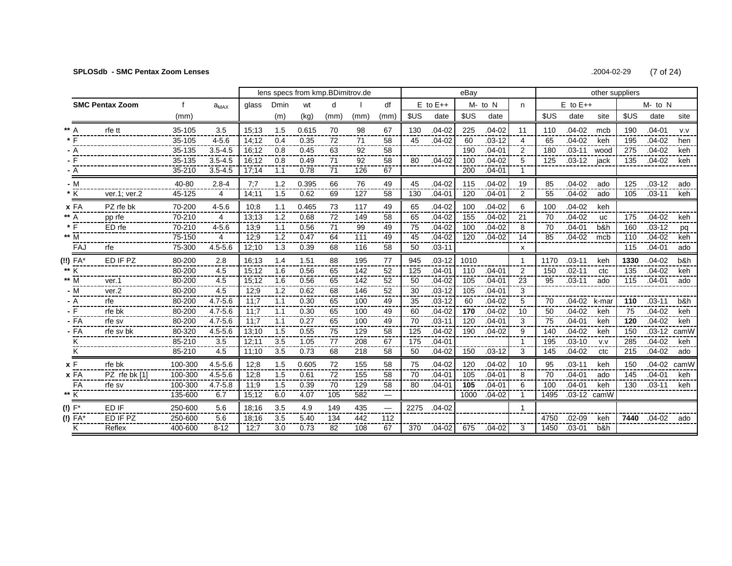### **SPLOSdb - SMC Pentax Zoom Lenses**

.2004-02-29  $(7 \text{ of } 24)$ 

|      |                    |                        |         |             | lens specs from kmp.BDimitrov.de |      |       |                 |      |                          |                 |              | eBav |            |                | other suppliers |              |             |      |            |      |
|------|--------------------|------------------------|---------|-------------|----------------------------------|------|-------|-----------------|------|--------------------------|-----------------|--------------|------|------------|----------------|-----------------|--------------|-------------|------|------------|------|
|      |                    | <b>SMC Pentax Zoom</b> |         | $a_{MAX}$   | glass                            | Dmin | wt    | d               |      | df                       |                 | $E$ to $E++$ |      | M- to N    | n              |                 | $E$ to $E++$ |             |      | M- to N    |      |
|      |                    |                        | (mm)    |             |                                  | (m)  | (kg)  | (mm)            | (mm) | (mm)                     | \$US            | date         | \$US | date       |                | \$US            | date         | site        | \$US | date       | site |
|      |                    | rfe tt                 | 35-105  | 3.5         | 15:13                            | 1.5  | 0.615 | 70              | 98   | 67                       | 130             | $.04 - 02$   | 225  | $.04 - 02$ | 11             | 110             | $.04 - 02$   | mcb         | 190  | $.04 - 01$ | v.v  |
|      |                    |                        | 35-105  | $4 - 5.6$   | 14:12                            | 0.4  | 0.35  | 72              | 71   | 58                       | 45              | $.04 - 02$   | 60   | $.03 - 12$ | 4              | 65              | $.04 - 02$   | keh         | 195  | $.04 - 02$ | hen  |
|      |                    |                        | 35-135  | $3.5 - 4.5$ | 16:12                            | 0.8  | 0.45  | 63              | 92   | 58                       |                 |              | 190  | $.04 - 01$ | 2              | 180             | $.03 - 11$   | wood        | 275  | $.04 - 02$ | keh  |
|      |                    |                        | 35-135  | $3.5 - 4.5$ | 16:12                            | 0.8  | 0.49  | 71              | 92   | 58                       | 80              | $.04 - 02$   | 100  | $.04 - 02$ | 5              | 125             | $.03 - 12$   | jack        | 135  | $.04 - 02$ | keh  |
|      | - A                |                        | 35-210  | $3.5 - 4.5$ | 17:14                            | 1.1  | 0.78  | 71              | 126  | 67                       |                 |              | 200  | $.04 - 01$ |                |                 |              |             |      |            |      |
|      | - M                |                        | 40-80   | $2.8 - 4$   | 7:7                              | 1.2  | 0.395 | 66              | 76   | 49                       | 45              | $.04 - 02$   | 115  | $.04 - 02$ | 19             | 85              | $.04 - 02$   | ado         | 125  | $.03 - 12$ | ado  |
|      | K                  | ver.1; ver.2           | 45-125  | 4           | 14;11                            | 1.5  | 0.62  | 69              | 127  | 58                       | 130             | $.04 - 01$   | 120  | $.04 - 01$ | 2              | 55              | $.04 - 02$   | ado         | 105  | $.03 - 11$ | keh  |
|      | x FA               | PZ rfe bk              | 70-200  | $4 - 5.6$   | 10:8                             | 1.1  | 0.465 | 73              | 117  | 49                       | 65              | $.04 - 02$   | 100  | $.04 - 02$ | 6              | 100             | $.04 - 02$   | keh         |      |            |      |
|      | ** A               | pp rfe                 | 70-210  | 4           | 13:13                            | 1.2  | 0.68  | 72              | 149  | 58                       | 65              | $.04 - 02$   | 155  | $.04 - 02$ | 21             | 70              | $.04 - 02$   | <b>UC</b>   | 175  | $.04 - 02$ | keh  |
|      | $*$ $\overline{F}$ | ED rfe                 | 70-210  | $4 - 5.6$   | 13,9                             | 1.1  | 0.56  | $\overline{71}$ | 99   | 49                       | $\overline{75}$ | $.04 - 02$   | 100  | $.04 - 02$ | $\overline{8}$ | 70              | $.04 - 01$   | b&h         | 160  | $.03 - 12$ | pq   |
|      | ** M               |                        | 75-150  | 4           | 12;9                             | 1.2  | 0.47  | 64              | 111  | 49                       | 45              | $.04 - 02$   | 120  | $.04 - 02$ | 14             | 85              | $.04 - 02$   | mcb         | 110  | $.04 - 02$ | keh  |
|      | FAJ                | rfe                    | 75-300  | $4.5 - 5.6$ | 12;10                            | 1.3  | 0.39  | 68              | 116  | 58                       | 50              | $.03 - 11$   |      |            | x              |                 |              |             | 115  | $.04 - 01$ | ado  |
|      | (!!) FA*           | ED IF PZ               | 80-200  | 2.8         | 16:13                            | 1.4  | 1.51  | 88              | 195  | 77                       | 945             | $.03 - 12$   | 1010 |            | 1              | 1170            | $.03 - 11$   | keh         | 1330 | $.04 - 02$ | b&h  |
| ** K |                    |                        | 80-200  | 4.5         | 15:12                            | 1.6  | 0.56  | 65              | 142  | 52                       | 125             | $.04 - 01$   | 110  | $.04 - 01$ | $\overline{2}$ | 150             | $.02 - 11$   | ctc.        | 135  | $.04 - 02$ | keh  |
|      | ** M               | ver.1                  | 80-200  | 4.5         | 15:12                            | 1.6  | 0.56  | 65              | 142  | 52                       | 50              | $.04 - 02$   | 105  | $.04 - 01$ | 23             | 95              | $.03 - 11$   | ado         | 115  | $.04 - 01$ | ado  |
|      | - M                | ver.2                  | 80-200  | 4.5         | 12:9                             | 1.2  | 0.62  | 68              | 146  | 52                       | 30              | $.03 - 12$   | 105  | $.04 - 01$ | 3              |                 |              |             |      |            |      |
|      | - A                | rfe                    | 80-200  | $4.7 - 5.6$ | 11:7                             | 1.1  | 0.30  | 65              | 100  | 49                       | 35              | $.03 - 12$   | 60   | $.04 - 02$ | 5              | 70              | $.04 - 02$   | k-mar       | 110  | $.03 - 11$ | b&h  |
|      | - F                | rfe bk                 | 80-200  | $4.7 - 5.6$ | 11:7                             | 1.1  | 0.30  | 65              | 100  | 49                       | 60              | $.04 - 02$   | 170  | $.04 - 02$ | 10             | 50              | $.04 - 02$   | keh         | 75   | $.04 - 02$ | keh  |
|      | $-FA$              | rfe sv                 | 80-200  | $4.7 - 5.6$ | 11:7                             | 1.1  | 0.27  | 65              | 100  | 49                       | 70              | $.03 - 11$   | 120  | $.04 - 01$ | 3              | 75              | $.04 - 01$   | keh         | 120  | $.04 - 02$ | keh  |
|      | - FA               | rfe sv bk              | 80-320  | $4.5 - 5.6$ | 13:10                            | 1.5  | 0.55  | 75              | 129  | 58                       | 125             | $.04 - 02$   | 190  | $.04 - 02$ | 9              | 140             | $.04 - 02$   | keh         | 150  | $.03 - 12$ | camW |
|      | κ                  |                        | 85-210  | 3.5         | 12:11                            | 3.5  | 1.05  | 77              | 208  | 67                       | 175             | $.04 - 01$   |      |            |                | 195             | $.03 - 10$   | V.V         | 285  | $.04 - 02$ | keh  |
|      | κ                  |                        | 85-210  | 4.5         | 11:10                            | 3.5  | 0.73  | 68              | 218  | 58                       | 50              | $.04 - 02$   | 150  | $.03 - 12$ | 3              | 145             | .04-02       | ctc         | 215  | $.04 - 02$ | ado  |
|      | x F                | rfe bk                 | 100-300 | $4.5 - 5.6$ | 12;8                             | 1.5  | 0.605 | 72              | 155  | 58                       | 75              | $.04 - 02$   | 120  | $.04 - 02$ | 10             | 95              | $.03 - 11$   | keh         | 150  | $.04 - 02$ | camW |
|      | xFA                | PZ rfe bk [1]          | 100-300 | $4.5 - 5.6$ | 12:8                             | 1.5  | 0.61  | 72              | 155  | 58                       | 70              | $.04 - 01$   | 105  | $.04 - 01$ | 8              | 70              | $.04 - 01$   | ado         | 145  | $.04 - 01$ | keh  |
|      | FA                 | rfe sv                 | 100-300 | $4.7 - 5.8$ | 11:9                             | 1.5  | 0.39  | 70              | 129  | 58                       | 80              | $.04 - 01$   | 105  | $.04 - 01$ | 6              | 100             | $.04 - 01$   | keh         | 130  | $.03 - 11$ | keh  |
|      | $** \overline{K}$  |                        | 135-600 | 6.7         | 15;12                            | 6.0  | 4.07  | 105             | 582  | $\hspace{0.05cm}$        |                 |              | 1000 | $.04 - 02$ | 1              | 1495            |              | .03-12 camW |      |            |      |
|      | $(!) F^*$          | ED IF                  | 250-600 | 5.6         | 18:16                            | 3.5  | 4.9   | 149             | 435  | $\overline{\phantom{0}}$ | 2275            | $.04 - 02$   |      |            |                |                 |              |             |      |            |      |
|      | (!) FA*            | ED IF PZ               | 250-600 | 5.6         | 18:16                            | 3.5  | 5.40  | 134             | 442  | 112                      |                 |              |      |            |                | 4750            | $.02 - 09$   | keh         | 7440 | $.04 - 02$ | ado  |
|      | κ                  | Reflex                 | 400-600 | $8 - 12$    | 12:7                             | 3.0  | 0.73  | 82              | 108  | 67                       | 370             | $.04 - 02$   | 675  | $.04-02$   | 3              | 1450            | $.03 - 01$   | b&h         |      |            |      |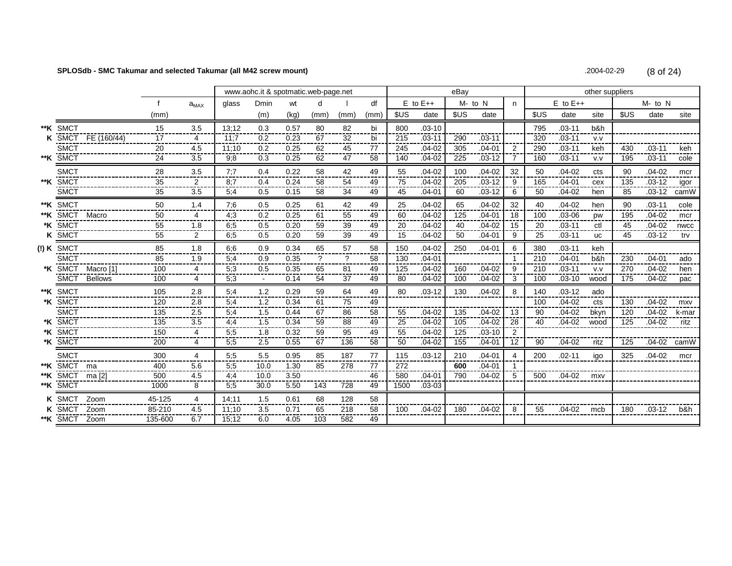#### SPLOSdb - SMC Takumar and selected Takumar (all M42 screw mount)

.2004-02-29  $(8 of 24)$ 

|                |                    |                 |                       |                  | www.aohc.it & spotmatic.web-page.net |      |      |      |           |      |              | eBay |            |                |      |              | other suppliers |            |            |       |
|----------------|--------------------|-----------------|-----------------------|------------------|--------------------------------------|------|------|------|-----------|------|--------------|------|------------|----------------|------|--------------|-----------------|------------|------------|-------|
|                |                    |                 | $a_{MAX}$             | glass            | <b>Dmin</b>                          | wt   | d    |      | df        |      | $E$ to $E++$ |      | M- to N    | n.             |      | $E$ to $E++$ |                 |            | $M - to N$ |       |
|                |                    | (mm)            |                       |                  | (m)                                  | (kg) | (mm) | (mm) | (mm)      | \$US | date         | \$US | date       |                | \$US | date         | site            | <b>SUS</b> | date       | site  |
| **K SMCT       |                    | 15              | 3.5                   | 13:12            | 0.3                                  | 0.57 | 80   | 82   | bi        | 800  | $.03 - 10$   |      |            |                | 795  | $.03 - 11$   | b&h             |            |            |       |
|                | K SMCT FE (160/44) | 17              | 4<br>----             | 11:7             | 0.2                                  | 0.23 | 67   | 32   | bi<br>--- | 215  | $.03 - 11$   | 290  | $.03 - 11$ |                | 320  | $.03 - 11$   | V.V             |            |            |       |
| <b>SMCT</b>    |                    | 20              | 4.5                   | 11:10            | 0.2                                  | 0.25 | 62   | 45   | 77        | 245  | $.04 - 02$   | 305  | $.04 - 01$ | $\overline{2}$ | 290  | $.03 - 11$   | keh             | 430        | $.03 - 11$ | keh   |
| **K SMCT       |                    | 24              | 3.5                   | 9;8              | 0.3                                  | 0.25 | 62   | 47   | 58        | 140  | $.04 - 02$   | 225  | $.03 - 12$ | 7              | 160  | $.03 - 11$   | v.v             | 195        | $.03 - 11$ | cole  |
| <b>SMCT</b>    |                    | 28              | 3.5                   | 7:7              | 0.4                                  | 0.22 | 58   | 42   | 49        | 55   | $.04 - 02$   | 100  | $.04 - 02$ | 32             | 50   | $.04 - 02$   | cts             | 90         | $.04 - 02$ | mcr   |
| **K SMCT       |                    | 35              | 2                     | 8:7              | 0.4                                  | 0.24 | 58   | 54   | 49        | 75   | $.04 - 02$   | 205  | $.03 - 12$ | 9              | 165  | $.04 - 01$   | cex             | 135        | $.03 - 12$ | igor  |
| <b>SMCT</b>    |                    | 35              | 3.5                   | 5:4              | 0.5                                  | 0.15 | 58   | 34   | 49        | 45   | $.04 - 01$   | 60   | $.03 - 12$ | 6              | 50   | $.04 - 02$   | hen             | 85         | $.03 - 12$ | camW  |
| **K SMCT       |                    | 50              | 1.4                   | 7:6              | 0.5                                  | 0.25 | 61   | 42   | 49        | 25   | $.04 - 02$   | 65   | $.04 - 02$ | 32             | 40   | $.04 - 02$   | hen             | 90         | $.03 - 11$ | cole  |
|                | ** K SMCT Macro    | 50              | 4                     | 4;3              | 0.2                                  | 0.25 | 61   | 55   | 49        | 60   | $.04 - 02$   | 125  | $.04 - 01$ | 18             | 100  | $.03 - 06$   | <b>DW</b>       | 195        | $.04 - 02$ | mcr   |
| *K SMCT        |                    | 55              | 1.8                   | 6:5              | 0.5                                  | 0.20 | 59   | 39   | 49        | 20   | $.04 - 02$   | 40   | $.04 - 02$ | 15             | 20   | $.03 - 11$   | ctl             | 45         | $.04 - 02$ | nwcc  |
| <b>K SMCT</b>  |                    | 55              | $\overline{2}$        | 6:5              | 0.5                                  | 0.20 | 59   | 39   | 49        | 15   | $.04 - 02$   | 50   | $.04 - 01$ | 9              | 25   | $.03 - 11$   | <b>UC</b>       | 45         | $.03 - 12$ | trv   |
| $(!)$ K SMCT   |                    | 85              | 1.8                   | 6.6              | 0.9                                  | 0.34 | 65   | 57   | 58        | 150  | $.04 - 02$   | 250  | $.04 - 01$ | 6              | 380  | $.03 - 11$   | keh             |            |            |       |
| <b>SMCT</b>    |                    | 85              | 1.9                   | 5,4              | 0.9                                  | 0.35 | ?    | ?    | 58        | 130  | $.04 - 01$   |      |            | -1             | 210  | $.04 - 01$   | b&h             | 230        | $.04 - 01$ | ado   |
| *K SMCT        | Macro [1]          | 100             | 4<br>---              | 5:3              | 0.5                                  | 0.35 | 65   | 81   | 49        | 125  | $.04 - 02$   | 160  | $.04 - 02$ | 9              | 210  | $.03 - 11$   | V.V             | 270        | $.04 - 02$ | hen   |
| <b>SMCT</b>    | <b>Bellows</b>     | 100             | 4                     | 5;3              |                                      | 0.14 | 54   | 37   | 49        | 80   | $.04 - 02$   | 100  | $.04 - 02$ | 3              | 100  | $.03 - 10$   | wood            | 175        | $.04 - 02$ | pac   |
| **K SMCT       |                    | 105             | 2.8                   | 5:4              | 1.2                                  | 0.29 | 59   | 64   | 49        | 80   | $.03 - 12$   | 130  | $.04 - 02$ | 8              | 140  | $.03 - 12$   | ado             |            |            |       |
| *K SMCT        |                    | 120             | 2.8                   | 5:4              | 1.2                                  | 0.34 | 61   | 75   | 49        |      |              |      |            |                | 100  | $.04 - 02$   | cts             | 130        | $.04 - 02$ | mxv   |
| <b>SMCT</b>    |                    | 135             | 2.5                   | 5;4              | 1.5                                  | 0.44 | 67   | 86   | 58        | 55   | $.04 - 02$   | 135  | $.04 - 02$ | 13             | 90   | $.04 - 02$   | bkvn            | 120        | $.04 - 02$ | k-mar |
| *K SMCT        |                    | $\frac{1}{135}$ | 3.5<br>----           | 4:4              | 1.5                                  | 0.34 | 59   | 88   | 49<br>--- | 25   | $.04 - 02$   | 105  | $.04 - 02$ | 28             | 40   | $.04 - 02$   | wood            | 125        | $.04 - 02$ | ritz  |
| *K SMCT        |                    | 150             | 4<br>----             | $\overline{5,5}$ | 1.8                                  | 0.32 | 59   | 95   | 49        | 55   | $.04 - 02$   | 125  | $.03 - 10$ | 2              |      |              |                 |            |            |       |
| *K SMCT        |                    | 200             | 4                     | 5:5              | 2.5                                  | 0.55 | 67   | 136  | 58        | 50   | $.04 - 02$   | 155  | $.04 - 01$ | 12             | 90   | $.04 - 02$   | ritz            | 125        | $.04 - 02$ | camW  |
| <b>SMCT</b>    |                    | 300             | 4                     | 5:5              | 5.5                                  | 0.95 | 85   | 187  | 77<br>--  | 115  | $.03 - 12$   | 210  | $.04 - 01$ | 4              | 200  | $.02 - 11$   | iao             | 325        | $.04 - 02$ | mcr   |
| **K SMCT ma    |                    | 400             | 5.6                   | 5:5              | 10.0                                 | 1.30 | 85   | 278  | 77        | 272  |              | 600  | $.04 - 01$ |                |      |              |                 |            |            |       |
|                | **K SMCT ma[2]     | 500             | 4.5                   | 4:4              | 10.0                                 | 3.50 |      |      | 46        | 580  | $.04 - 01$   | 790  | $.04 - 02$ | 5              | 500  | $.04 - 02$   | mxy             |            |            |       |
| **K SMCT       |                    | 1000            | 8                     | 5:5              | 30.0                                 | 5.50 | 143  | 728  | 49        | 1500 | $.03 - 03$   |      |            |                |      |              |                 |            |            |       |
| <b>K</b> SMCT  | Zoom               | 45-125          | $\overline{4}$<br>--- | 14:11            | 1.5                                  | 0.61 | 68   | 128  | 58<br>--- |      |              |      |            |                |      |              |                 |            |            |       |
| K SMCT         | Zoom               | 85-210          | 4.5                   | 11:10            | 3.5                                  | 0.71 | 65   | 218  | 58        | 100  | $.04 - 02$   | 180  | $.04 - 02$ | 8              | 55   | $.04 - 02$   | mcb             | 180        | $.03 - 12$ | b&h   |
| ** K SMCT Zoom |                    | 135-600         | 6.7                   | 15:12            | 6.0                                  | 4.05 | 103  | 582  | 49        |      |              |      |            |                |      |              |                 |            |            |       |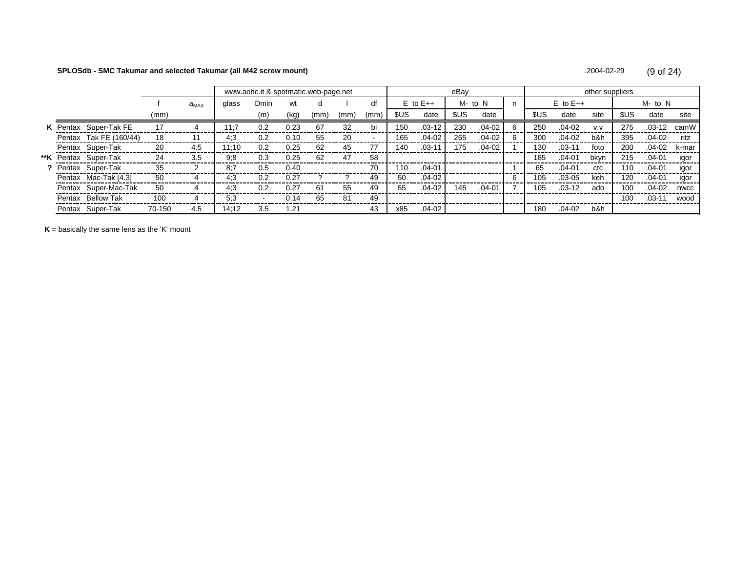#### SPLOSdb - SMC Takumar and selected Takumar (all M42 screw mount)

.2004-02-29  $(9 of 24)$ 

|  |                             |        |           | www.aohc.it & spotmatic.web-page.net |      |      |      |      |      |      |              | eBay |            |    |      |              | other suppliers |       |            |       |
|--|-----------------------------|--------|-----------|--------------------------------------|------|------|------|------|------|------|--------------|------|------------|----|------|--------------|-----------------|-------|------------|-------|
|  |                             |        | $a_{MAX}$ | glass                                | Dmin | wt   |      |      | df   |      | $E$ to $E++$ |      | M- to N    | n. |      | $E$ to $E++$ |                 |       | M- to N    |       |
|  |                             | (mm)   |           |                                      | (m)  | (kg) | (mm) | (mm) | (mm) | \$US | date         | \$US | date       |    | \$US | date         | site            | \$US. | date       | site  |
|  | K Pentax Super-Tak FE       | 17     |           | 11:7                                 | 0.2  | 0.23 | 67   | 32   | bi   | 150  | $.03 - 12$   | 230  | $.04 - 02$ | 6  | 250  | $.04 - 02$   | V.V             | 275   | $.03 - 12$ | camW  |
|  | Pentax Tak FE (160/44)      | 18     |           | 4:3                                  | 0.2  | 0.10 | 55   | 20   |      | 165  | $.04 - 02$   | 265  | .04-02     | 6  | 300  | $.04 - 02$   | b&h             | 395   | $.04-02$   | ritz  |
|  | Pentax Super-Tak            | 20     | 4.5       | 11:10                                | 0.2  | 0.25 | 62   | 45   | 77   | 140  | $.03 - 11$   | 175  | $.04-02$   |    | 130  | .03-11       | foto            | 200   | $.04-02$   | k-mar |
|  | <b>**K</b> Pentax Super-Tak | 24     | 3.5       | 9.8                                  | 0.3  | 0.25 | 62   | 47   | 58   |      |              |      |            |    | 185  | $.04 - 01$   | bkvn            | 215   | $.04 - 01$ | igor  |
|  | Pentax Super-Tak            | 35     |           | 8:7                                  | 0.5  | 0.40 |      |      | 70   | 110  | $.04 - 01$   |      |            |    | 65   | .04-01       | ctc             | 110   | $.04 - 01$ | igor  |
|  | Pentax Mac-Tak [4.3]        | 50     |           | 4:3                                  | 0.2  | 0.27 |      |      | 49   | 50   | $.04 - 02$   |      |            | 6  | 105  | $.03 - 05$   | keh             | 120   | $.04 - 01$ | igor  |
|  | Pentax Super-Mac-Tak        | 50     |           | 4.3                                  | 0.2  | 0.27 | 61   | 55   | 49   | 55   | $.04 - 02$   | 145  | .04-01     |    | 105  | $.03-12$     | ado             | 100   | $.04-02$   | nwcc  |
|  | Pentax Bellow Tak           | 100    |           | 5:3                                  |      | 0.14 | 65   | 81   | 49   |      |              |      |            |    |      |              |                 | 100   | $.03 - 11$ | wood  |
|  | Pentax Super-Tak            | 70-150 | 4.5       | 14:12                                | 3.5  | 1.21 |      |      | 43   | x85  | $.04-02$     |      |            |    | 180  | $.04 - 02$   | b&h             |       |            |       |

 $K =$  basically the same lens as the 'K' mount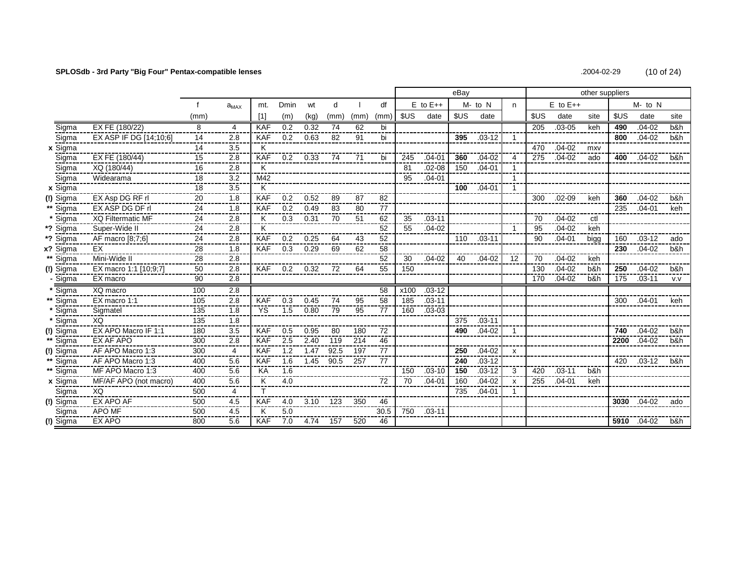# **SPLOSdb - 3rd Party "Big Four" Pentax-compatible lenses** .2004-02-29 (10 of 24)

| $(10$ of 24)<br>2004-02-29 |
|----------------------------|
|----------------------------|

|           |                          |      |             |            |      |      |      |      |      |            |              | eBay |            |                           |      |              | other suppliers |      |              |      |
|-----------|--------------------------|------|-------------|------------|------|------|------|------|------|------------|--------------|------|------------|---------------------------|------|--------------|-----------------|------|--------------|------|
|           |                          |      | $a_{MAX}$   | mt.        | Dmin | wt   | d    |      | df   |            | $E$ to $E++$ |      | M- to N    | n                         |      | $E$ to $E++$ |                 |      | $M$ - to $N$ |      |
|           |                          | (mm) |             | [1]        | (m)  | (kg) | (mm) | (mm) | (mm) | <b>SUS</b> | date         | \$US | date       |                           | \$US | date         | site            | \$US | date         | site |
| Sigma     | EX FE (180/22)           | 8    | 4           | <b>KAF</b> | 0.2  | 0.32 | 74   | 62   | bi   |            |              |      |            |                           | 205  | $.03 - 05$   | keh             | 490  | $.04 - 02$   | b&h  |
| Sigma     | EX ASP IF DG [14;10;6]   | 14   | 2.8         | <b>KAF</b> | 0.2  | 0.63 | 82   | 91   | bi   |            |              | 395  | $.03 - 12$ |                           |      |              |                 | 800  | $.04 - 02$   | b&h  |
| x Sigma   |                          | 14   | 3.5         | K          |      |      |      |      |      |            |              |      |            |                           | 470  | $.04 - 02$   | mxy             |      |              |      |
| Sigma     | EX FE (180/44)           | 15   | 2.8         | <b>KAF</b> | 0.2  | 0.33 | 74   | 71   | bi   | 245        | $.04 - 01$   | 360  | $.04 - 02$ | 4                         | 275  | $.04 - 02$   | ado             | 400  | $.04 - 02$   | b&h. |
| Sigma     | XQ (180/44)              | 16   | 2.8         | Κ          |      |      |      |      |      | 81         | $.02 - 08$   | 150  | $.04 - 01$ | -1                        |      |              |                 |      |              |      |
| Sigma     | Widearama                | 18   | 3.2         | M42        |      |      |      |      |      | 95         | $.04 - 01$   |      |            | -1                        |      |              |                 |      |              |      |
| x Sigma   |                          | 18   | 3.5         | K          |      |      |      |      |      |            |              | 100  | $.04 - 01$ | $\mathbf{1}$              |      |              |                 |      |              |      |
| Sigma     | EX Asp DG RF rl          | 20   | 1.8         | <b>KAF</b> | 0.2  | 0.52 | 89   | 87   | 82   |            |              |      |            |                           | 300  | $.02 - 09$   | keh             | 360  | $.04 - 02$   | b&h  |
| Sigma     | EX ASP DG DF rl          | 24   | 1.8         | <b>KAF</b> | 0.2  | 0.49 | 83   | 80   | 77   |            |              |      |            |                           |      |              |                 | 235  | $.04 - 01$   | keh  |
| Sigma     | <b>XQ Filtermatic MF</b> | 24   | 2.8         | ĸ          | 0.3  | 0.31 | 70   | 51   | 62   | 35         | $.03 - 11$   |      |            |                           | 70   | $.04 - 02$   | ctl             |      |              |      |
| *? Sigma  | Super-Wide II            | 24   | 2.8         | ĸ          |      |      |      |      | 52   | 55         | $.04 - 02$   |      |            |                           | 95   | $.04 - 02$   | keh             |      |              |      |
| *? Sigma  | AF macro [8;7;6]         | 24   | 2.8         | <b>KAF</b> | 0.2  | 0.25 | 64   | 43   | 52   |            |              | 110  | $.03 - 11$ |                           | 90   | $.04 - 01$   | bigg            | 160  | $.03 - 12$   | ado  |
| x? Sigma  | EX                       | 28   | 1.8         | <b>KAF</b> | 0.3  | 0.29 | 69   | 62   | 58   |            |              |      |            |                           |      |              |                 | 230  | $.04 - 02$   | b&h  |
| Sigma     | Mini-Wide II             | 28   | 2.8<br>---- |            |      |      |      |      | 52   | 30         | $.04 - 02$   | 40   | $.04 - 02$ | 12                        | 70   | $.04 - 02$   | keh             |      |              |      |
| (!) Sigma | EX macro 1:1 [10;9;7]    | 50   | 2.8         | KAF.       | 0.2  | 0.32 | 72   | 64   | 55   | 150        |              |      |            |                           | 130  | $.04 - 02$   | b&h             | 250  | $.04 - 02$   | b&h  |
| - Sigma   | EX macro                 | 90   | 2.8         |            |      |      |      |      |      |            |              |      |            |                           | 170  | $.04 - 02$   | b&h             | 175  | $.03 - 11$   | V.V  |
| Sigma     | XQ macro                 | 100  | 2.8         |            |      |      |      |      | 58   | x100       | $.03 - 12$   |      |            |                           |      |              |                 |      |              |      |
| Sigma     | EX macro 1:1             | 105  | 2.8         | <b>KAF</b> | 0.3  | 0.45 | 74   | 95   | 58   | 185        | $.03 - 11$   |      |            |                           |      |              |                 | 300  | $.04 - 01$   | keh  |
| Sigma     | Sigmatel                 | 135  | 1.8         | YS         | 1.5  | 0.80 | 79   | 95   | 77   | 160        | $.03 - 03$   |      |            |                           |      |              |                 |      |              |      |
| Sigma     | XQ                       | 135  | 1.8         |            |      |      |      |      |      |            |              | 375  | $.03 - 11$ |                           |      |              |                 |      |              |      |
| (!) Sigma | EX APO Macro IF 1:1      | 180  | 3.5         | <b>KAF</b> | 0.5  | 0.95 | 80   | 180  | 72   |            |              | 490  | $.04 - 02$ | 1                         |      |              |                 | 740  | $.04 - 02$   | b&h  |
| Sigma     | EX AF APO                | 300  | 2.8         | <b>KAF</b> | 2.5  | 2.40 | 119  | 214  | 46   |            |              |      |            |                           |      |              |                 | 2200 | $.04 - 02$   | b&h  |
| (!) Sigma | AF APO Macro 1:3         | 300  | 4           | <b>KAF</b> | 1.2  | 1.47 | 92.5 | 197  | 77   |            |              | 250  | $.04 - 02$ | $\boldsymbol{\mathsf{x}}$ |      |              |                 |      |              |      |
| Sigma     | AF APO Macro 1:3         | 400  | 5.6         | <b>KAF</b> | 1.6  | 1.45 | 90.5 | 257  | 77   |            |              | 240  | $.03 - 12$ |                           |      |              |                 | 420  | $.03-12$     | b&h. |
| ** Sigma  | MF APO Macro 1:3         | 400  | 5.6         | KA         | 1.6  |      |      |      |      | 150        | $.03 - 10$   | 150  | $.03 - 12$ | 3                         | 420  | $.03 - 11$   | b&h             |      |              |      |
| x Sigma   | MF/AF APO (not macro)    | 400  | 5.6         | K          | 4.0  |      |      |      | 72   | 70         | $.04 - 01$   | 160  | $.04 - 02$ | $\boldsymbol{\mathsf{x}}$ | 255  | $.04 - 01$   | keh             |      |              |      |
| Sigma     | XQ                       | 500  | 4           |            |      |      |      |      |      |            |              | 735  | $.04 - 01$ | -1                        |      |              |                 |      |              |      |
| (!) Sigma | EX APO AF                | 500  | 4.5         | <b>KAF</b> | 4.0  | 3.10 | 123  | 350  | 46   |            |              |      |            |                           |      |              |                 | 3030 | $.04 - 02$   | ado  |
| Sigma     | <b>APO MF</b>            | 500  | 4.5         | Κ          | 5.0  |      |      |      | 30.5 | 750        | .03-11       |      |            |                           |      |              |                 |      |              |      |
| (!) Sigma | EX APO                   | 800  | 5.6         | <b>KAF</b> | 7.0  | 4.74 | 157  | 520  | 46   |            |              |      |            |                           |      |              |                 |      | 5910 .04-02  | b&h  |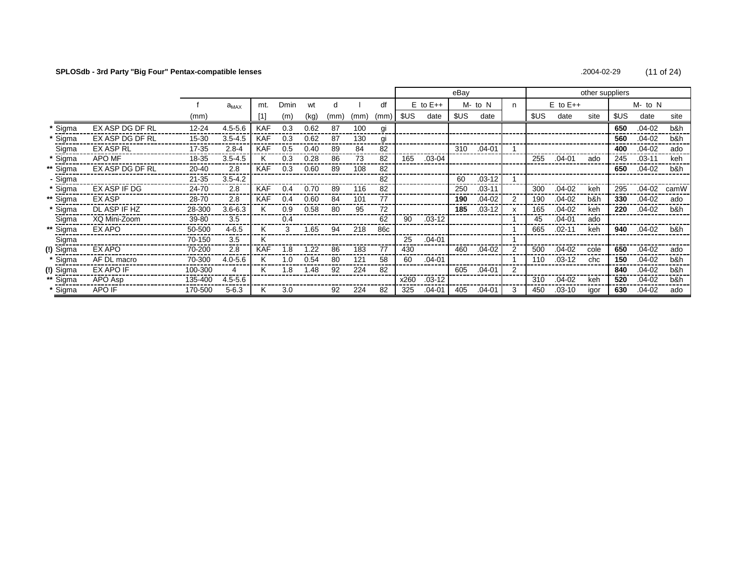# **SPLOSdb - 3rd Party "Big Four" Pentax-compatible lenses** .2004-02-29 (11 of 24)

|           |                 |           |             |            |      |      |      |      |      |      |              | eBay |            |   |      |              | other suppliers |       |            |      |
|-----------|-----------------|-----------|-------------|------------|------|------|------|------|------|------|--------------|------|------------|---|------|--------------|-----------------|-------|------------|------|
|           |                 |           | $a_{MAX}$   | mt.        | Dmin | wt   | d    |      | df   |      | $E$ to $E++$ |      | M- to N    | n |      | $E$ to $E++$ |                 |       | M- to N    |      |
|           |                 | (mm)      |             |            | (m)  | (kg) | (mm) | (mm) | (mm) | \$US | date         | \$US | date       |   | \$US | date         | site            | \$US. | date       | site |
| * Sigma   | EX ASP DG DF RL | $12 - 24$ | $4.5 - 5.6$ | <b>KAF</b> | 0.3  | 0.62 | 87   | 100  | gi   |      |              |      |            |   |      |              |                 | 650   | $.04 - 02$ | b&h  |
| * Sigma   | EX ASP DG DF RL | 15-30     | $3.5 - 4.5$ | <b>KAF</b> | 0.3  | 0.62 | 87   | 130  | gi   |      |              |      |            |   |      |              |                 | 560   | $.04 - 02$ | b&h  |
| Sigma     | EX ASP RL       | 17-35     | $2.8 - 4$   | <b>KAF</b> | 0.5  | 0.40 | 89   | 84   | 82   |      |              | 310  | $.04 - 01$ |   |      |              |                 | 400   | $.04 - 02$ | ado  |
| * Sigma   | APO MF          | 18-35     | $3.5 - 4.5$ | κ          | 0.3  | 0.28 | 86   | 73   | 82   | 165  | $.03 - 04$   |      |            |   | 255  | .04-01       | ado             | 245   | $.03 - 11$ | keh  |
| ** Sigma  | EX ASP DG DF RL | 20-40     | 2.8         | <b>KAF</b> | 0.3  | 0.60 | 89   | 108  | 82   |      |              |      |            |   |      |              |                 | 650   | $.04 - 02$ | b&h  |
| - Sigma   |                 | $21 - 35$ | $3.5 - 4.2$ |            |      |      |      |      | 82   |      |              | 60   | $.03 - 12$ |   |      |              |                 |       |            |      |
| * Sigma   | EX ASP IF DG    | 24-70     | 2.8         | <b>KAF</b> | 0.4  | 0.70 | 89   | 116  | 82   |      |              | 250  | $.03 - 11$ |   | 300  | $.04 - 02$   | keh             | 295   | $.04 - 02$ | camW |
| ** Sigma  | EX ASP          | 28-70     | 2.8         | <b>KAF</b> | 0.4  | 0.60 | 84   | 101  | 77   |      |              | 190  | $.04 - 02$ | 2 | 190  | $.04-02$     | b&h             | 330   | $.04 - 02$ | ado  |
| * Sigma   | DL ASP IF HZ    | 28-300    | $3.6 - 6.3$ | Κ          | 0.9  | 0.58 | 80   | 95   | 72   |      |              | 185  | .03-12     | x | 165  | $.04 - 02$   | keh             | 220   | $.04 - 02$ | b&h  |
| Sigma     | XQ Mini-Zoom    | 39-80     | 3.5         |            | 0.4  |      |      |      | 62   | 90   | $.03 - 12$   |      |            |   | 45   | $.04 - 01$   | ado             |       |            |      |
| ** Sigma  | EX APO          | 50-500    | 4-6.5       | κ          | 3    | 1.65 | 94   | 218  | 86c  |      |              |      |            |   | 665  | $.02 - 11$   | keh             | 940   | $.04 - 02$ | b&h  |
| Sigma     |                 | 70-150    | 3.5         | κ          |      |      |      |      |      | 25   | $.04 - 01$   |      |            |   |      |              |                 |       |            |      |
| (!) Sigma | EX APO          | 70-200    | 2.8         | <b>KAF</b> | 1.8  | .22  | 86   | 183  | 77   | 430  |              | 460  | $.04 - 02$ | 2 | 500  | $.04 - 02$   | cole            | 650   | $.04-02$   | ado  |
| * Sigma   | AF DL macro     | 70-300    | $4.0 - 5.6$ | κ          | 1.0  | 0.54 | 80   | 121  | 58   | 60   | $.04 - 01$   |      |            |   | 110  | $.03 - 12$   | chc             | 150   | .04-02     | b&h  |
| (!) Sigma | EX APO IF       | 100-300   |             | Κ          | .8   | 1.48 | 92   | 224  | 82   |      |              | 605  | $.04 - 01$ | 2 |      |              |                 | 840   | .04-02     | b&h  |
| ** Sigma  | APO Asp         | 135-400   | $4.5 - 5.6$ |            |      |      |      |      |      | x260 | $.03 - 12$   |      |            |   | 310  | $.04 - 02$   | keh             | 520   | .04-02     | b&h  |
| * Sigma   | APO IF          | 170-500   | $5 - 6.3$   | Κ          | 3.0  |      | 92   | 224  | 82   | 325  | $.04 - 01$   | 405  | $.04 - 01$ | 3 | 450  | $.03 - 10$   | igor            | 630   | .04-02     | ado  |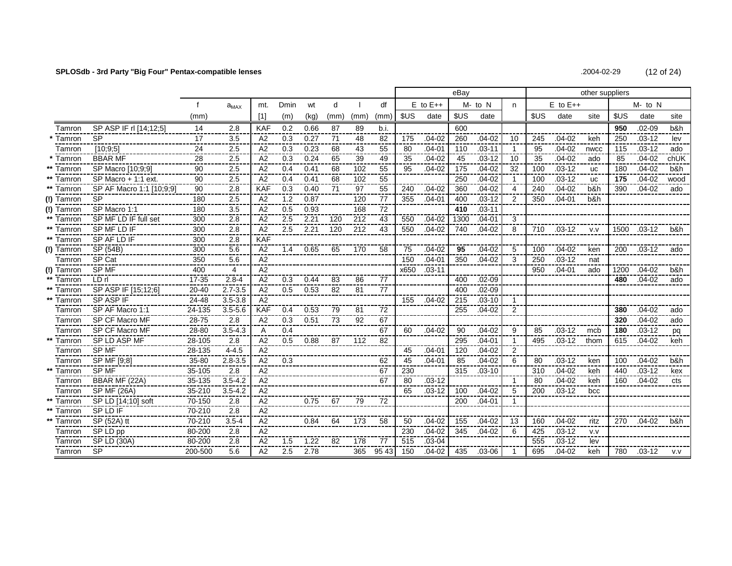# **SPLOSdb - 3rd Party "Big Four" Pentax-compatible lenses** 6 and the set of 24) **.2004-02-29** .2004-02-29 (12 of 24)

| .2004-02-29 | $(12$ of 24) |  |
|-------------|--------------|--|
|             |              |  |

|            |                          |                 |                  |                |               |      |                 |      |       |      |              | eBay |            |                |      |              | other suppliers |      |            |      |
|------------|--------------------------|-----------------|------------------|----------------|---------------|------|-----------------|------|-------|------|--------------|------|------------|----------------|------|--------------|-----------------|------|------------|------|
|            |                          |                 | $a_{MAX}$        | mt.            | Dmin          | wt   | d               |      | df    |      | $E$ to $E++$ |      | M- to N    | n              |      | $E$ to $E++$ |                 |      | M- to N    |      |
|            |                          | (mm)            |                  | $[1]$          | (m)           | (kg) | (mm)            | (mm) | (mm)  | \$US | date         | \$US | date       |                | \$US | date         | site            | SUS  | date       | site |
| Tamron     | SP ASP IF rl [14;12;5]   | 14              | 2.8              | <b>KAF</b>     | 0.2           | 0.66 | 87              | 89   | b.i.  |      |              | 600  |            |                |      |              |                 | 950  | $.02 - 09$ | b&h  |
| Tamron     | <b>SP</b>                | 17              | $\overline{3.5}$ | A2             | 0.3           | 0.27 | $\overline{71}$ | 48   | 82    | 175  | $.04 - 02$   | 260  | $.04 - 02$ | 10             | 245  | $.04 - 02$   | keh             | 250  | $.03 - 12$ | lev  |
| Tamron     | $\overline{[10,9,5]}$    | $\overline{24}$ | 2.5              | A <sub>2</sub> | 0.3           | 0.23 | 68              | 43   | 55    | 80   | $.04 - 01$   | 110  | $.03 - 11$ | $\mathbf 1$    | 95   | $.04 - 02$   | nwcc            | 115  | $.03 - 12$ | ado  |
| Tamron     | <b>BBAR MF</b>           | 28              | $\overline{2.5}$ | A <sub>2</sub> | 0.3           | 0.24 | 65              | 39   | 49    | 35   | $.04 - 02$   | 45   | $.03 - 12$ | 10             | 35   | $.04 - 02$   | ado             | 85   | $.04 - 02$ | chUK |
| Tamron     | SP Macro [10,9,9]        | $\overline{90}$ | 2.5              | A <sub>2</sub> | 0.4           | 0.41 | 68              | 102  | 55    | 95   | $.04 - 02$   | 175  | $.04 - 02$ | 32             | 100  | $.03 - 12$   | <b>UC</b>       | 180  | $.04 - 02$ | b&h  |
| Tamron     | SP Macro + 1:1 ext.      | 90              | 2.5              | A <sub>2</sub> | 0.4           | 0.41 | 68              | 102  | 55    |      |              | 250  | $.04 - 02$ | -1             | 100  | $.03 - 12$   | <b>UC</b>       | 175  | $.04 - 02$ | wood |
| Tamron     | SP AF Macro 1:1 [10:9:9] | 90              | 2.8              | <b>KAF</b>     | 0.3           | 0.40 | 71              | 97   | 55    | 240  | $.04 - 02$   | 360  | $.04 - 02$ | 4              | 240  | $.04 - 02$   | b&h             | 390  | $.04 - 02$ | ado  |
| (!) Tamron | <b>SP</b>                | 180             | 2.5              | A2             | 1.2           | 0.87 |                 | 120  | 77    | 355  | $.04 - 01$   | 400  | $.03 - 12$ | 2              | 350  | $.04 - 01$   | b&h             |      |            |      |
| Tamron     | SP Macro 1:1             | 180             | 3.5              | A2             | 0.5           | 0.93 |                 | 168  | 72    |      |              | 410  | $.03 - 11$ |                |      |              |                 |      |            |      |
| Tamron     | SP MF LD IF full set     | 300             | 2.8              | A2             | 2.5           | 2.21 | 120             | 212  | 43    | 550  | $.04 - 02$   | 1300 | $.04 - 01$ | 3              |      |              |                 |      |            |      |
| Tamron     | SP MF LD IF              | 300             | 2.8              | A2             | 2.5           | 2.21 | 120             | 212  | 43    | 550  | $.04 - 02$   | 740  | $.04 - 02$ | 8              | 710  | $.03 - 12$   | V.V             | 1500 | $.03-12$   | b&h. |
| Tamron     | SP AF LD IF              | 300             | 2.8              | <b>KAF</b>     |               |      |                 |      |       |      |              |      |            |                |      |              |                 |      |            |      |
| (!) Tamron | SP (54B)                 | 300             | 5.6              | A2             | 1.4           | 0.65 | 65              | 170  | 58    | 75   | $.04 - 02$   | 95   | $.04 - 02$ | 5              | 100  | $.04 - 02$   | ken             | 200  | $.03 - 12$ | ado  |
| Tamron     | SP Cat                   | 350             | 5.6              | A2             |               |      |                 |      |       | 150  | $.04 - 01$   | 350  | $.04 - 02$ | 3              | 250  | $.03 - 12$   | nat             |      |            |      |
| Tamron     | SP MF                    | 400             | 4                | A2             |               |      |                 |      |       | x650 | $.03 - 11$   |      |            |                | 950  | $.04 - 01$   | ado             | 1200 | $.04 - 02$ | b&h  |
| Tamron     | LD rl                    | 17-35           | $2.8 - 4$        | A2             | 0.3           | 0.44 | 83              | 86   | 77    |      |              | 400  | $.02 - 09$ |                |      |              |                 | 480  | $.04 - 02$ | ado  |
| Tamron     | SP ASP IF [15:12:6]      | $20 - 40$       | $2.7 - 3.5$      | A2             | 0.5           | 0.53 | 82              | 81   | 77    |      |              | 400  | $.02 - 09$ |                |      |              |                 |      |            |      |
| Tamron     | SP ASP IF                | 24-48           | $3.5 - 3.8$      | A2             |               |      |                 |      |       | 155  | $.04 - 02$   | 215  | $.03 - 10$ | 1              |      |              |                 |      |            |      |
| Tamron     | SP AF Macro 1:1          | 24-135          | $3.5 - 5.6$      | <b>KAF</b>     | $0.4^{\circ}$ | 0.53 | 79              | 81   | 72    |      |              | 255  | $.04 - 02$ | 2              |      |              |                 | 380  | $.04 - 02$ | ado  |
| Tamron     | SP CF Macro MF           | 28-75           | 2.8              | A2             | 0.3           | 0.51 | -73             | 92   | 67    |      |              |      |            |                |      |              |                 | 320  | $.04 - 02$ | ado  |
| Tamron     | SP CF Macro MF           | 28-80           | $3.5 - 4.3$      | A              | 0.4           |      |                 |      | 67    | 60   | $.04 - 02$   | 90   | $.04 - 02$ | 9              | 85   | $.03 - 12$   | mcb             | 180  | $.03 - 12$ | pq   |
| Tamron     | SP LD ASP MF             | 28-105          | 2.8              | A2             | 0.5           | 0.88 | 87              | 112  | 82    |      |              | 295  | $.04 - 01$ | $\mathbf{1}$   | 495  | $.03 - 12$   | thom            | 615  | $.04 - 02$ | keh  |
| Tamron     | SP MF                    | 28-135          | $4 - 4.5$        | A2             |               |      |                 |      |       | 45   | $.04 - 01$   | 120  | $.04 - 02$ | $\overline{2}$ |      |              |                 |      |            |      |
| Tamron     | SP MF [9:8]              | 35-80           | $2.8 - 3.5$      | A2             | 0.3           |      |                 |      | 62    | 45   | $.04 - 01$   | 85   | $.04 - 02$ | 6              | 80   | $.03 - 12$   | ken             | 100  | $.04 - 02$ | b&h  |
| Tamron     | SP MF                    | 35-105          | 2.8              | A2             |               |      |                 |      | 67    | 230  |              | 315  | $.03 - 10$ |                | 310  | $.04 - 02$   | keh             | 440  | $.03 - 12$ | kex  |
| Tamron     | BBAR MF (22A)            | 35-135          | $3.5 - 4.2$      | A2             |               |      |                 |      | 67    | 80   | $.03 - 12$   |      |            | $\mathbf{1}$   | 80   | $.04 - 02$   | keh             | 160  | $.04 - 02$ | cts  |
| Tamron     | SPMF(26A)                | 35-210          | $3.5 - 4.2$      | A <sub>2</sub> |               |      |                 |      |       | 65   | $.03 - 12$   | 100  | $.04 - 02$ | 5              | 200  | $.03 - 12$   | bcc             |      |            |      |
| Tamron     | SP LD [14;10] soft       | 70-150          | 2.8              | A2             |               | 0.75 | 67              | 79   | 72    |      |              | 200  | $.04 - 01$ | $\mathbf{1}$   |      |              |                 |      |            |      |
| Tamron     | SP LD IF                 | 70-210          | 2.8              | A2             |               |      |                 |      |       |      |              |      |            |                |      |              |                 |      |            |      |
| Tamron     | SP (52A) tt              | 70-210          | $3.5 - 4$        | A2             |               | 0.84 | 64              | 173  | 58    | 50   | $.04 - 02$   | 155  | $.04 - 02$ | 13             | 160  | $.04 - 02$   | ritz            | 270  | $.04 - 02$ | b&h  |
| Tamron     | SP LD pp                 | 80-200          | 2.8              | A2             |               |      |                 |      |       | 230  | $.04 - 02$   | 345  | $.04 - 02$ | 6              | 425  | $.03 - 12$   | V.V             |      |            |      |
| Tamron     | SP LD (30A)              | 80-200          | 2.8              | A2             | 1.5           | 1.22 | 82              | 178  | 77    | 515  | $.03 - 04$   |      |            |                | 555  | $.03 - 12$   | lev             |      |            |      |
| Tamron     | <b>SP</b>                | 200-500         | 5.6              | A2             | 2.5           | 2.78 |                 | 365  | 95 43 | 150  | $.04 - 02$   | 435  | $.03 - 06$ | 1              | 695  | $.04 - 02$   | keh             | 780  | $.03 - 12$ | V.V  |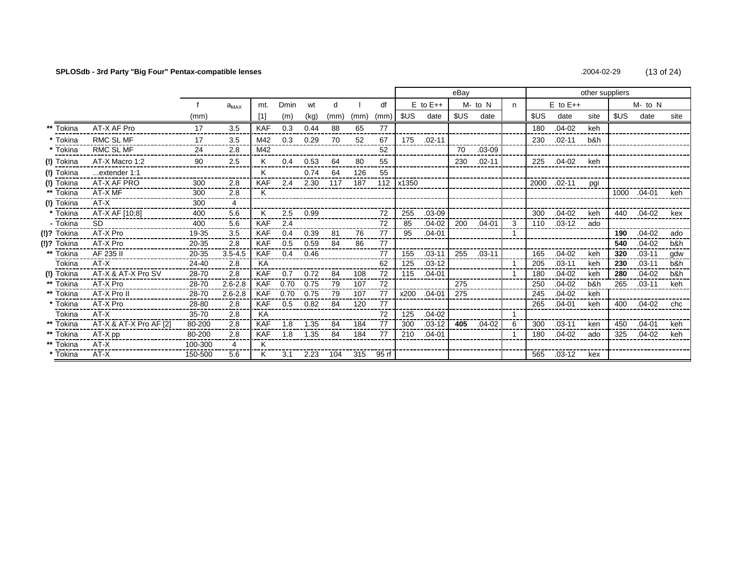# **SPLOSdb - 3rd Party "Big Four" Pentax-compatible lenses** .2004-02-29 (13 of 24)

|                    |                        |         |             |            |             |      |      |      |       |           |              | eBay |            |    |      |              | other suppliers |      |            |      |
|--------------------|------------------------|---------|-------------|------------|-------------|------|------|------|-------|-----------|--------------|------|------------|----|------|--------------|-----------------|------|------------|------|
|                    |                        |         | $a_{MAX}$   | mt.        | <b>Dmin</b> | wt   | d    |      | df    |           | $E$ to $E++$ |      | M- to N    | n. |      | $E$ to $E++$ |                 |      | M- to N    |      |
|                    |                        | (mm)    |             | [1]        | (m)         | (kg) | (mm) | (mm) | (mm)  | \$US      | date         | \$US | date       |    | \$US | date         | site            | \$US | date       | site |
| Tokina             | AT-X AF Pro            | 17      | 3.5         | <b>KAF</b> | 0.3         | 0.44 | 88   | 65   | 77    |           |              |      |            |    | 180  | $.04 - 02$   | keh             |      |            |      |
| * Tokina           | <b>RMC SL MF</b>       | 17      | 3.5         | M42        | 0.3         | 0.29 | 70   | 52   | 67    | 175       | $.02 - 11$   |      |            |    | 230  | $.02 - 11$   | b&h             |      |            |      |
| * Tokina           | RMC SL MF              | 24      | 2.8         | M42        |             |      |      |      | 52    |           |              | 70   | $.03 - 09$ |    |      |              |                 |      |            |      |
| (!) Tokina         | AT-X Macro 1:2         | 90      | 2.5         | K          | 0.4         | 0.53 | 64   | 80   | 55    |           |              | 230  | $.02 - 11$ |    | 225  | $.04-02$     | keh             |      |            |      |
| (!) Tokina         | extender 1:1           |         |             | Κ          |             | 0.74 | 64   | 126  | 55    |           |              |      |            |    |      |              |                 |      |            |      |
| ∣ Tokina           | AT-X AF PRO            | 300     | 2.8         | KAF        | 2.4         | 2.30 | 117  | 187  |       | 112 x1350 |              |      |            |    | 2000 | $.02 - 11$   | pgi             |      |            |      |
| Tokina             | AT-X MF                | 300     | 2.8         | K          |             |      |      |      |       |           |              |      |            |    |      |              |                 | 1000 | $.04-01$   | keh  |
| (!) Tokina         | AT-X                   | 300     | 4           |            |             |      |      |      |       |           |              |      |            |    |      |              |                 |      |            |      |
| * Tokina           | AT-X AF [10;8]         | 400     | 5.6         | Κ          | 2.5         | 0.99 |      |      | 72    | 255       | $.03 - 09$   |      |            |    | 300  | $.04 - 02$   | keh             | 440  | $.04 - 02$ | kex  |
| - Tokina           | SD.                    | 400     | 5.6         | <b>KAF</b> | 2.4         |      |      |      | 72    | 85        | $.04 - 02$   | 200  | $.04 - 01$ | 3  | 110  | $.03 - 12$   | ado             |      |            |      |
| (!)? Tokina        | AT-X Pro               | 19-35   | 3.5         | <b>KAF</b> | 0.4         | 0.39 | 81   | 76   | 77    | 95        | $.04 - 01$   |      |            |    |      |              |                 | 190  | $.04 - 02$ | ado  |
| <b>(!)?</b> Tokina | AT-X Pro               | 20-35   | 2.8         | <b>KAF</b> | 0.5         | 0.59 | 84   | 86   | 77    |           |              |      |            |    |      |              |                 | 540  | $.04 - 02$ | b&h  |
| Tokina             | AF 235 II              | 20-35   | $3.5 - 4.5$ | <b>KAF</b> | 0.4         | 0.46 |      |      | 77    | 155       | $.03 - 11$   | 255  | $.03 - 11$ |    | 165  | $.04 - 02$   | keh             | 320  | $.03 - 11$ | gdw  |
| Tokina             | AT-X                   | 24-40   | 2.8         | KA         |             |      |      |      | 62    | 125       | $.03 - 12$   |      |            |    | 205  | $.03 - 11$   | keh             | 230  | $.03 - 11$ | b&h  |
| (!) Tokina         | AT-X & AT-X Pro SV     | 28-70   | 2.8         | <b>KAF</b> | 0.7         | 0.72 | 84   | 108  | 72    | 115       | $.04 - 01$   |      |            |    | 180  | $.04 - 02$   | keh             | 280  | $.04 - 02$ | b&h  |
| Tokina             | AT-X Pro               | 28-70   | $2.6 - 2.8$ | <b>KAF</b> | 0.70        | 0.75 | 79   | 107  | 72    |           |              | 275  |            |    | 250  | $.04 - 02$   | b&h             | 265  | $.03 - 11$ | keh  |
| Tokina             | AT-X Pro II            | 28-70   | $2.6 - 2.8$ | <b>KAF</b> | 0.70        | 0.75 | 79   | 107  | 77    | x200      | $.04 - 01$   | 275  |            |    | 245  | $.04 - 02$   | keh             |      |            |      |
| Tokina             | AT-X Pro               | 28-80   | 2.8         | <b>KAF</b> | 0.5         | 0.82 | 84   | 120  | 77    |           |              |      |            |    | 265  | $.04 - 01$   | keh             | 400  | $.04 - 02$ | chc  |
| Tokina             | AT-X                   | 35-70   | 2.8         | KA         |             |      |      |      | 72    | 125       | $.04 - 02$   |      |            |    |      |              |                 |      |            |      |
| Tokina             | AT-X & AT-X Pro AF [2] | 80-200  | 2.8         | <b>KAF</b> | 1.8         | 1.35 | 84   | 184  | 77    | 300       | .03-12 1     | 405  | $.04 - 02$ | 6  | 300  | $.03 - 11$   | ken             | 450  | $.04 - 01$ | keh  |
| Tokina             | AT-X pp                | 80-200  | 2.8         | <b>KAF</b> | 1.8         | 1.35 | 84   | 184  | 77    | 210       | $.04 - 01$   |      |            |    | 180  | $.04 - 02$   | ado             | 325  | $.04 - 02$ | keh  |
| Tokina             | AT-X                   | 100-300 | 4           | Κ          |             |      |      |      |       |           |              |      |            |    |      |              |                 |      |            |      |
| * Tokina           | AT-X                   | 150-500 | 5.6         | Κ          | 3.1         | 2.23 | 104  | 315  | 95 rf |           |              |      |            |    | 565  | $.03-12$     | kex             |      |            |      |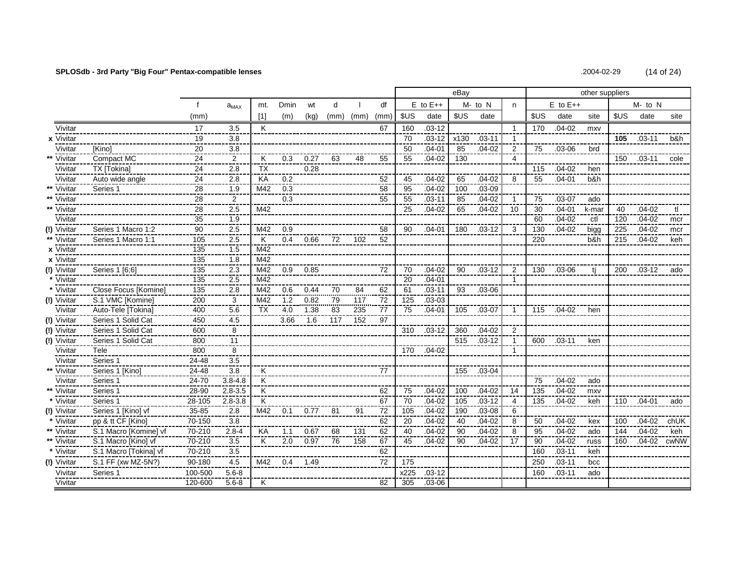# **SPLOSdb - 3rd Party "Big Four" Pentax-compatible lenses** .2004-02-29 (14 of 24)

|                    |                                        |                    |                   |                         |                  |            |      |         |                 |      |              | eBay |            |                |      |              | other suppliers |      |              |      |
|--------------------|----------------------------------------|--------------------|-------------------|-------------------------|------------------|------------|------|---------|-----------------|------|--------------|------|------------|----------------|------|--------------|-----------------|------|--------------|------|
|                    |                                        |                    | $a_{MAX}$         | mt.                     | Dmin             | wt         | d    |         | df              |      | $E$ to $E++$ |      | M- to N    | n.             |      | $E$ to $E++$ |                 |      | $M$ - to $N$ |      |
|                    |                                        | (mm)               |                   | [1]                     | (m)              | (kg)       | (mm) | (mm)    | (mm)            | \$US | date         | \$US | date       |                | \$US | date         | site            | \$US | date         | site |
| Vivitar            |                                        | 17                 | 3.5               | K                       |                  |            |      |         | 67              | 160  | $.03 - 12$   |      |            | $\overline{1}$ | 170  | $.04 - 02$   | mxy             |      |              |      |
| x Vivitar          |                                        | 19                 | 3.8               |                         |                  |            |      |         |                 | 70   | $.03 - 12$   | x130 | $.03 - 11$ | -1             |      |              |                 | 105  | $.03 - 11$   | b&h  |
| Vivitar            | <b>[Kino]</b>                          | 20                 | 3.8               |                         |                  |            |      |         |                 | 50   | $.04 - 01$   | 85   | $.04-02$   | 2              | 75   | $.03 - 06$   | brd             |      |              |      |
| Vivitar            | Compact MC                             | 24                 | $\frac{2}{\cdot}$ | K                       | 0.3              | 0.27       | 63   | 48      | 55              | 55   | $.04 - 02$   | 130  |            | $\overline{4}$ |      |              |                 | 150  | .03-11       | cole |
| Vivitar            | TX [Tokina]                            | 24                 | 2.8               | ТX                      |                  | 0.28       |      |         |                 |      |              |      |            |                | 115  | $.04 - 02$   | hen             |      |              |      |
| Vivitar            | Auto wide angle                        | 24                 | 2.8               | KA                      | 0.2              |            |      |         | 52              | 45   | $.04 - 02$   | 65   | $.04 - 02$ | 8              | 55   | $.04 - 01$   | b&h             |      |              |      |
| Vivitar            | Series 1                               | 28                 | 1.9               | M42                     | 0.3              |            |      |         | 58              | 95   | $.04 - 02$   | 100  | $.03 - 09$ |                |      |              |                 |      |              |      |
| Vivitar            |                                        | 28                 | $\overline{2}$    |                         | 0.3              |            |      |         | 55              | 55   | $.03 - 11$   | 85   | $.04 - 02$ | $\overline{1}$ | 75   | $.03 - 07$   | ado             |      |              |      |
| Vivitar            |                                        | 28                 | 2.5               | M42                     |                  |            |      |         |                 | 25   | $.04 - 02$   | 65   | $.04 - 02$ | 10             | 30   | $.04 - 01$   | k-mar           | 40   | $.04 - 02$   | tl   |
| Vivitar            |                                        | 35                 | 1.9               |                         |                  |            |      |         |                 |      |              |      |            |                | 60   | $.04 - 02$   | ctl             | 120  | $.04 - 02$   | mcr  |
| (!) Vivitar        | Series 1 Macro 1:2                     | 90                 | 2.5               | M42                     | 0.9              |            |      |         | 58              | 90   | $.04 - 01$   | 180  | $.03 - 12$ | 3              | 130  | $.04 - 02$   | bigg            | 225  | $.04 - 02$   | mcr  |
| Vivitar            | Series 1 Macro 1:1                     | 105                | 2.5               | K                       |                  | $0.4$ 0.66 | 72   | 102     | 52              |      |              |      |            |                | 220  |              | b&h             | 215  | $.04 - 02$   | keh  |
| x Vivitar          |                                        | 135                | 1.5               | M42                     |                  |            |      |         |                 |      |              |      |            |                |      |              |                 |      |              |      |
| $x$ Vivitar        |                                        | 135                | 1.8               | M42                     |                  |            |      |         |                 |      |              |      |            |                |      |              |                 |      |              |      |
| (!) Vivitar        | Series 1 [6;6]                         | 135                | 2.3               | M42                     | 0.9              | 0.85       |      |         | 72              | 70   | $.04 - 02$   | 90   | $.03 - 12$ | 2              | 130  | $.03 - 06$   | ti              | 200  | $.03 - 12$   | ado  |
| * Vivitar          |                                        | 135                | 2.5               | M42                     |                  |            |      |         |                 | 20   | $.04 - 01$   |      |            | $\overline{1}$ |      |              |                 |      |              |      |
| * Vivitar          | Close Focus [Komine]                   | 135                | 2.8               | M42                     | 0.6              | 0.44       | 70   | 84      | 62              | 61   | $.03 - 11$   | 93   | $.03 - 06$ |                |      |              |                 |      |              |      |
| (!) Vivitar        | S.1 VMC [Komine]                       | 200                | 3                 | M42                     | $\overline{1.2}$ | 0.82       | 79   | 117     | $\overline{72}$ | 125  | $.03 - 03$   |      |            |                |      |              |                 |      |              |      |
| Vivitar            | Auto-Tele [Tokina]                     | 400                | 5.6               | TX                      | 4.0              | 1.38       | 83   | 235     | 77              | 75   | $.04 - 01$   | 105  | $.03 - 07$ | $\overline{1}$ | 115  | $.04 - 02$   | hen             |      |              |      |
| (!) Vivitar        | Series 1 Solid Cat                     | 450                | 4.5               |                         | 3.66             | 1.6        |      | 117 152 | 97              |      |              |      |            |                |      |              |                 |      |              |      |
| (!) Vivitar        | Series 1 Solid Cat                     | 600                | 8<br>----         |                         |                  |            |      |         |                 | 310  | $.03-12$     | 360  | $.04 - 02$ | $\overline{2}$ |      |              |                 |      |              |      |
| (!) Vivitar        | Series 1 Solid Cat                     | 800                | 11                |                         |                  |            |      |         |                 |      |              | 515  | $.03 - 12$ | -1             | 600  | $.03 - 11$   | ken             |      |              |      |
| Vivitar            | Tele                                   | 800                | 8<br>3.5          |                         |                  |            |      |         |                 | 170  | $.04 - 02$   |      |            | $\mathbf 1$    |      |              |                 |      |              |      |
| Vivitar            | Series 1                               | 24-48              | 3.8               | ΪK                      |                  |            |      |         | 77              |      |              | 155  |            |                |      |              |                 |      |              |      |
| Vivitar<br>Vivitar | Series 1 [Kino]<br>Series <sub>1</sub> | 24-48<br>$24 - 70$ | $3.8 - 4.8$       | $\overline{\mathsf{K}}$ |                  |            |      |         |                 |      |              |      | $.03 - 04$ |                | 75   | $.04 - 02$   |                 |      |              |      |
| Vivitar            | Series 1                               | 28-90              | $2.8 - 3.5$       | K                       |                  |            |      |         | 62              | 75   | $.04 - 02$   | 100  | $.04 - 02$ | 14             | 135  | $.04 - 02$   | ado<br>mxy      |      |              |      |
| Vivitar            | Series 1                               | 28-105             | $2.8 - 3.8$       | K                       |                  |            |      |         |                 | 70   | $.04 - 02$   | 105  | $.03 - 12$ | 4              | 135  | $.04 - 02$   | keh             | 110  | $.04 - 01$   | ado  |
| (!) Vivitar        | Series 1 [Kino] vf                     | $35 - 85$          | 2.8               | M42                     | 0.1              | 0.77       | 81   | 91      | 67<br>72        | 105  | $.04 - 02$   | 190  | $.03 - 08$ | 6              |      |              |                 |      |              |      |
| Vivitar            | pp & tt CF [Kino]                      | 70-150             | 3.8               |                         |                  |            |      |         | 62              | 20   | $.04 - 02$   | 40   | $.04 - 02$ | 8              | 50   | $.04 - 02$   | kex             | 100  | $.04 - 02$   | chUK |
| Vivitar            | S.1 Macro [Komine] vf                  | 70-210             | $2.8 - 4$         | KA                      | 1.1              | 0.67       | 68   | 131     | 62              | 40   | .04-02       | 90   | $.04 - 02$ | 8              | 95   | $.04 - 02$   | ado             | 144  | $.04 - 02$   | keh  |
| ** Vivitar         | S.1 Macro [Kino] vf                    | 70-210             | 3.5               | K                       | 2.0              | 0.97       | 76   | 158     | 67              | 45   | $.04 - 02$   | 90   | $.04 - 02$ | -17            | 90   | $.04 - 02$   | russ            | 160  | $.04 - 02$   | cwNW |
| * Vivitar          | S.1 Macro [Tokina] vf                  | 70-210             | 3.5               |                         |                  |            |      |         | 62              |      |              |      |            |                | 160  | $.03 - 11$   | keh             |      |              |      |
| (!) Vivitar        | S.1 FF (xw MZ-5N?)                     | 90-180             | 4.5               | M42                     | $0.4^{\circ}$    | 1.49       |      |         | 72              | 175  |              |      |            |                | 250  | $.03 - 11$   | bcc             |      |              |      |
| Vivitar            | Series 1                               | 100-500            | $5.6 - 8$         |                         |                  |            |      |         |                 | x225 | $.03 - 12$   |      |            |                | 160  | $.03 - 11$   | ado             |      |              |      |
| Vivitar            |                                        | 120-600            | $5.6 - 8$         | K                       |                  |            |      |         | 82              | 305  | $.03 - 06$   |      |            |                |      |              |                 |      |              |      |
|                    |                                        |                    |                   |                         |                  |            |      |         |                 |      |              |      |            |                |      |              |                 |      |              |      |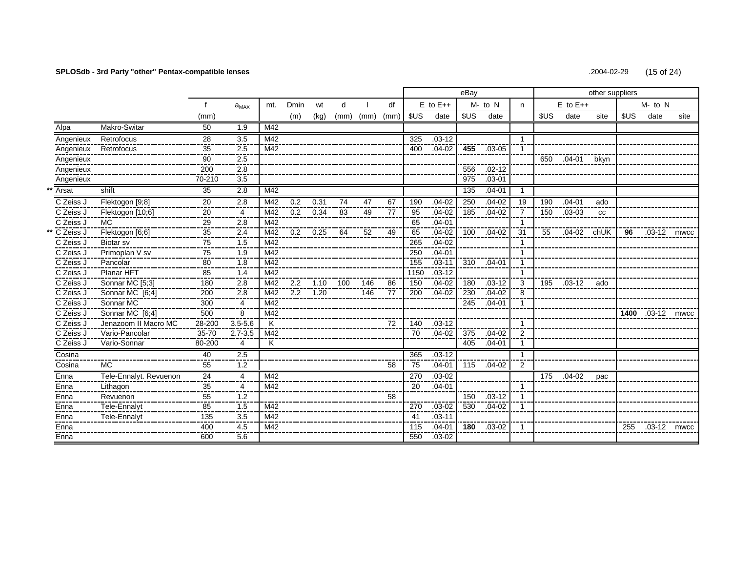# **SPLOSdb - 3rd Party "other" Pentax-compatible lenses** .2004-02-29 (15 of 24)

|              |                        |                        |                |     |             |            |      |      |      |      |              | eBay |            |                |      |              | other suppliers |      |                  |      |
|--------------|------------------------|------------------------|----------------|-----|-------------|------------|------|------|------|------|--------------|------|------------|----------------|------|--------------|-----------------|------|------------------|------|
|              |                        |                        | $a_{MAX}$      | mt. | <b>Dmin</b> | wt         | d    |      | df   |      | $E$ to $E++$ |      | $M - to N$ | n              |      | $E$ to $E++$ |                 |      | $M$ - to $N$     |      |
|              |                        | (mm)                   |                |     | (m)         | (kg)       | (mm) | (mm) | (mm) | \$US | date         | \$US | date       |                | \$US | date         | site            | \$US | date             | site |
| Alpa         | Makro-Switar           | 50                     | 1.9            | M42 |             |            |      |      |      |      |              |      |            |                |      |              |                 |      |                  |      |
| Angenieux    | Retrofocus             | 28                     | 3.5            | M42 |             |            |      |      |      | 325  | $.03 - 12$   |      |            | $\overline{1}$ |      |              |                 |      |                  |      |
| Angenieux    | Retrofocus             | ---<br>35              | 2.5            | M42 |             |            |      |      |      | 400  | $.04 - 02$   | 455  | $.03 - 05$ | -1             |      |              |                 |      |                  |      |
| Angenieux    |                        | 90                     | 2.5            |     |             |            |      |      |      |      |              |      |            |                | 650  | .04-01       | bkyn            |      |                  |      |
| Angenieux    |                        | 200                    | 2.8            |     |             |            |      |      |      |      |              | 556  | $.02 - 12$ |                |      |              |                 |      |                  |      |
| Angenieux    |                        | 70-210                 | 3.5            |     |             |            |      |      |      |      |              | 975  | $.03 - 01$ |                |      |              |                 |      |                  |      |
| Arsat        | shift                  | 35                     | 2.8            | M42 |             |            |      |      |      |      |              | 135  | $.04 - 01$ | $\overline{1}$ |      |              |                 |      |                  |      |
| C Zeiss J    | Flektogon [9;8]        | $\overline{20}$        | 2.8            | M42 | 0.2         | 0.31       | 74   | 47   | 67   | 190  | $.04 - 02$   | 250  | $.04 - 02$ | 19             | 190  | $.04 - 01$   | ado             |      |                  |      |
| C Zeiss J    | Flektogon [10;6]       | 20                     | 4              | M42 |             | $0.2$ 0.34 | 83   | 49   | 77   | 95   | $.04 - 02$   | 185  | $.04 - 02$ | -7             | 150  | $.03 - 03$   | <b>CC</b>       |      |                  |      |
| C Zeiss J    | MC.                    | 29                     | 2.8            | M42 |             |            |      |      |      | 65   | $.04 - 01$   |      |            | $\overline{1}$ |      |              |                 |      |                  |      |
| ** C Zeiss J | Flektogon [6;6]        | $\overline{35}$<br>--- | 2.4            | M42 |             | $0.2$ 0.25 | 64   | 52   | 49   | 65   | $.04 - 02$   | 100  | $.04 - 02$ | 31             | 55   | $.04 - 02$   | chUK            | 96   | .03-12 mwcc      |      |
| C Zeiss J    | <b>Biotar</b> sv       | $\overline{75}$<br>--- | 1.5<br>---     | M42 |             |            |      |      |      | 265  | $.04 - 02$   |      |            | $\mathbf{1}$   |      |              |                 |      |                  |      |
| C Zeiss J    | Primoplan V sv         | 75                     | 1.9            | M42 |             |            |      |      |      | 250  | $.04 - 01$   |      |            | $\mathbf{1}$   |      |              |                 |      |                  |      |
| C Zeiss J    | Pancolar               | 80                     | 1.8            | M42 |             |            |      |      |      | 155  | $.03 - 11$   | 310  | $.04 - 01$ | -1             |      |              |                 |      |                  |      |
| C Zeiss J    | Planar HFT             | 85                     | 1.4            | M42 |             |            |      |      |      | 1150 | $.03 - 12$   |      |            | $\overline{1}$ |      |              |                 |      |                  |      |
| C Zeiss J    | Sonnar MC [5;3]        | 180                    | 2.8            | M42 | 2.2         | 1.10       | 100  | 146  | 86   | 150  | $.04 - 02$   | 180  | $.03 - 12$ | 3              | 195  | $.03-12$     | ado             |      |                  |      |
| C Zeiss J    | Sonnar MC [6;4]        | 200                    | 2.8            | M42 |             | $2.2$ 1.20 |      | 146  | 77   | 200  | $.04 - 02$   | 230  | $.04 - 02$ | 8              |      |              |                 |      |                  |      |
| C Zeiss J    | Sonnar MC              | 300                    | $\overline{4}$ | M42 |             |            |      |      |      |      |              | 245  | $.04 - 01$ | $\mathbf{1}$   |      |              |                 |      |                  |      |
| C Zeiss J    | Sonnar MC [6:4]        | 500                    | 8              | M42 |             |            |      |      |      |      |              |      |            |                |      |              |                 |      | 1400 .03-12 mwcc |      |
| C Zeiss J    | Jenazoom II Macro MC   | 28-200                 | $3.5 - 5.6$    | K   |             |            |      |      | 72   | 140  | $.03 - 12$   |      |            | $\overline{1}$ |      |              |                 |      |                  |      |
| C Zeiss J    | Vario-Pancolar         | 35-70                  | $2.7 - 3.5$    | M42 |             |            |      |      |      | 70   | $.04 - 02$   | 375  | $.04 - 02$ | $\overline{2}$ |      |              |                 |      |                  |      |
| C Zeiss J    | Vario-Sonnar           | 80-200                 | 4              | Κ   |             |            |      |      |      |      |              | 405  | $.04 - 01$ | -1             |      |              |                 |      |                  |      |
| Cosina       |                        | 40                     | 2.5            |     |             |            |      |      |      | 365  | $.03 - 12$   |      |            | $\overline{1}$ |      |              |                 |      |                  |      |
| Cosina       | <b>MC</b>              | 55                     | 1.2            |     |             |            |      |      | 58   | 75   | $.04 - 01$   | 115  | $.04 - 02$ | $\overline{2}$ |      |              |                 |      |                  |      |
| Enna         | Tele-Ennalyt. Revuenon | 24                     | 4              | M42 |             |            |      |      |      | 270  | $.03 - 02$   |      |            |                | 175  | $.04 - 02$   | pac             |      |                  |      |
| Enna         | Lithagon               | 35<br>---              | 4              | M42 |             |            |      |      |      | 20   | $.04 - 01$   |      |            | -1             |      |              |                 |      |                  |      |
| Enna         | Revuenon               | 55                     | 1.2            |     |             |            |      |      | 58   |      |              | 150  | $.03 - 12$ |                |      |              |                 |      |                  |      |
| Enna         | Tele-Ennalyt           | 85                     | 1.5            | M42 |             |            |      |      |      | 270  | $.03 - 02$   | 530  | $.04 - 02$ |                |      |              |                 |      |                  |      |
| Enna         | Tele-Ennalyt           | 135                    | 3.5            | M42 |             |            |      |      |      | 41   | $.03 - 11$   |      |            |                |      |              |                 |      |                  |      |
| Enna         |                        | 400                    | 4.5            | M42 |             |            |      |      |      | 115  | $.04 - 01$   |      | 180 .03-02 | $\overline{1}$ |      |              |                 | 255  | .03-12 mwcc      |      |
| Enna         |                        | 600                    | 5.6            |     |             |            |      |      |      | 550  | $.03 - 02$   |      |            |                |      |              |                 |      |                  |      |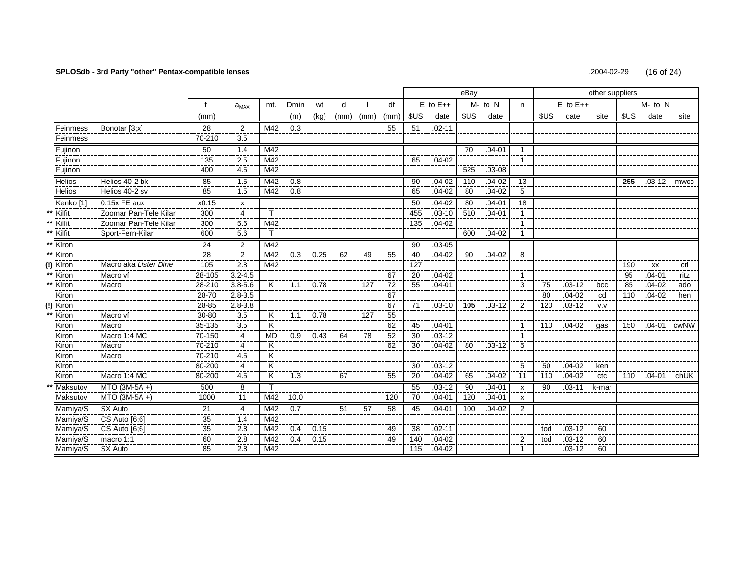# SPLOSdb - 3rd Party "other" Pentax-compatible lenses

.2004-02-29  $(16$  of 24)

|                      |                       |                 |                  |                         |      |            |      |      |      |      |              | eBay            |            |                           |      |              | other suppliers |      |             |      |
|----------------------|-----------------------|-----------------|------------------|-------------------------|------|------------|------|------|------|------|--------------|-----------------|------------|---------------------------|------|--------------|-----------------|------|-------------|------|
|                      |                       | $\mathbf{f}$    | $a_{MAX}$        | mt.                     | Dmin | wt         | d    |      | df   |      | $E$ to $E++$ |                 | $M - to N$ | n                         |      | $E$ to $E++$ |                 |      | M- to N     |      |
|                      |                       | (mm)            |                  |                         | (m)  | (kq)       | (mm) | (mm) | (mm) | \$US | date         | \$US            | date       |                           | \$US | date         | site            | \$US | date        | site |
| Feinmess             | Bonotar [3;x]         | 28              | $\overline{2}$   | M42                     | 0.3  |            |      |      | 55   | 51   | $.02 - 11$   |                 |            |                           |      |              |                 |      |             |      |
| Feinmess             |                       | 70-210          | 3.5              |                         |      |            |      |      |      |      |              |                 |            |                           |      |              |                 |      |             |      |
| Fujinon              |                       | 50              | 1.4              | M42                     |      |            |      |      |      |      |              | $\overline{70}$ | $.04 - 01$ | $\overline{1}$            |      |              |                 |      |             |      |
| Fujinon              |                       | 135             | 2.5              | M42                     |      |            |      |      |      | 65   | $.04 - 02$   |                 |            |                           |      |              |                 |      |             |      |
| Fujinon              |                       | 400             | 4.5              | M42                     |      |            |      |      |      |      |              | 525             | $.03 - 08$ |                           |      |              |                 |      |             |      |
| Helios               | Helios 40-2 bk        | 85              | 1.5              | M42                     | 0.8  |            |      |      |      | 90   | $.04 - 02$   | 110             | $.04 - 02$ | 13                        |      |              |                 | 255  | .03-12 mwcc |      |
| Helios               | Helios 40-2 sv        | 85              | 1.5              | M42                     | 0.8  |            |      |      |      | 65   | $.04 - 02$   | 80              | $.04 - 02$ | 5                         |      |              |                 |      |             |      |
| Kenko <sup>[1]</sup> | 0.15x FE aux          | x0.15           | $\mathsf{x}$     |                         |      |            |      |      |      | 50   | $.04 - 02$   | 80              | $.04 - 01$ | 18                        |      |              |                 |      |             |      |
| Kilfit               | Zoomar Pan-Tele Kilar | 300             | 4                |                         |      |            |      |      |      | 455  | $.03 - 10$   | 510             | $.04 - 01$ |                           |      |              |                 |      |             |      |
| ** Kilfit            | Zoomar Pan-Tele Kilar | 300             | 5.6              | M42                     |      |            |      |      |      | 135  | $.04 - 02$   |                 |            | $\overline{1}$            |      |              |                 |      |             |      |
| ** Kilfit            | Sport-Fern-Kilar      | 600             | 5.6              |                         |      |            |      |      |      |      |              | 600             | $.04 - 02$ |                           |      |              |                 |      |             |      |
| ** Kiron             |                       | $\overline{24}$ | 2                | M42                     |      |            |      |      |      | 90   | $.03 - 05$   |                 |            |                           |      |              |                 |      |             |      |
| ** $\frac{100}{100}$ |                       | 28              | $\overline{2}$ . | M42                     |      | $0.3$ 0.25 | 62   | 49   | 55   | 40   | $.04 - 02$   | 90              | $.04 - 02$ | 8                         |      |              |                 |      |             |      |
| (!) Kiron            | Macro aka Lister Dine | 105             | 2.8              | M42                     |      |            |      |      |      | 127  |              |                 |            |                           |      |              |                 | 190  | <b>XX</b>   | ctl  |
| Kiron                | Macro vf              | 28-105          | $3.2 - 4.5$      |                         |      |            |      |      | 67   | 20   | $.04 - 02$   |                 |            |                           |      |              |                 | 95   | $.04 - 01$  | ritz |
| ** Kiron             | Macro                 | 28-210          | $3.8 - 5.6$      | K                       | 1.1  | 0.78       |      | 127  | 72   | 55   | $.04 - 01$   |                 |            | 3                         | 75   | $.03 - 12$   | bcc             | 85   | $.04 - 02$  | ado  |
| Kiron                |                       | 28-70           | $2.8 - 3.5$      |                         |      |            |      |      | 67   |      |              |                 |            |                           | 80   | $.04 - 02$   | cd              | 110  | $.04 - 02$  | hen  |
| $(!)$ Kiron          |                       | 28-85           | $2.8 - 3.8$      |                         |      |            |      |      | 67   | 71   | $.03 - 10$   | 105             | $.03-12$   | $\overline{2}$            | 120  | $.03 - 12$   | V.V             |      |             |      |
| Kiron                | Macro vf              | 30-80           | 3.5              | K                       | 1.1  | 0.78       |      | 127  | 55   |      |              |                 |            |                           |      |              |                 |      |             |      |
| Kiron                | Macro                 | $35 - 135$      | 3.5              | K                       |      |            |      |      | 62   | 45   | $.04 - 01$   |                 |            |                           | 110  | .04-02       | qas             | 150  | .04-01 cwNW |      |
| Kiron                | Macro 1:4 MC          | 70-150          | $\overline{4}$   | <b>MD</b>               | 0.9  | 0.43       | 64   | 78   | 52   | 30   | $.03 - 12$   |                 |            |                           |      |              |                 |      |             |      |
| Kiron                | Macro                 | 70-210          | 4                | K                       |      |            |      |      | 62   | 30   | $.04 - 02$   | 80              | $.03 - 12$ | 5                         |      |              |                 |      |             |      |
| Kiron                | Macro                 | 70-210          | 4.5              | K                       |      |            |      |      |      |      |              |                 |            |                           |      |              |                 |      |             |      |
| <b>Kiron</b>         |                       | 80-200          | 4                | $\overline{\rm K}$      |      |            |      |      |      | 30   | $.03 - 12$   |                 |            | 5                         | 50   | $.04 - 02$   | ken             |      |             |      |
| Kiron                | Macro 1:4 MC          | 80-200          | 4.5              | $\overline{\mathsf{K}}$ | 1.3  |            | 67   |      | 55   | 20   | $.04 - 02$   | 65              | $.04 - 02$ | 11                        | 110  | $.04 - 02$   | ctc             | 110  | $.04 - 01$  | chUK |
| Maksutov             | MTO (3M-5A +)         | 500             | 8                | T.                      |      |            |      |      |      | 55   | $.03 - 12$   | 90              | $.04 - 01$ | $\boldsymbol{\mathsf{x}}$ | 90   | $.03 - 11$   | k-mar           |      |             |      |
| Maksutov             | $MTO$ (3M-5A+)        | 1000            | 11               | M42                     | 10.0 |            |      |      | 120  | 70   | $.04 - 01$   | 120             | $.04 - 01$ | $\boldsymbol{\mathsf{x}}$ |      |              |                 |      |             |      |
| Mamiya/S             | SX Auto               | 21              | $\overline{4}$   | M42                     | 0.7  |            | 51   | 57   | 58   | 45   | $.04 - 01$   | 100             | $.04 - 02$ | $\overline{2}$            |      |              |                 |      |             |      |
| Mamiya/S             | CS Auto [6;6]         | 35              | 1.4              | M42                     |      |            |      |      |      |      |              |                 |            |                           |      |              |                 |      |             |      |
| Mamiya/S             | $CS$ Auto $[6,6]$     | 35              | 2.8              | M42                     | 0.4  | 0.15       |      |      | 49   | 38   | $.02 - 11$   |                 |            |                           | tod  | $.03 - 12$   | 60              |      |             |      |
| Mamiya/S             | macro 1:1             | 60              | 2.8              | M42                     | 0.4  | 0.15       |      |      | 49   | 140  | $.04 - 02$   |                 |            | $\overline{2}$            | tod  | $.03 - 12$   | 60              |      |             |      |
| Mamiya/S             | SX Auto               | 85              | 2.8              | $\overline{M42}$        |      |            |      |      |      | 115  | $.04 - 02$   |                 |            | -1                        |      | $.03 - 12$   | 60              |      |             |      |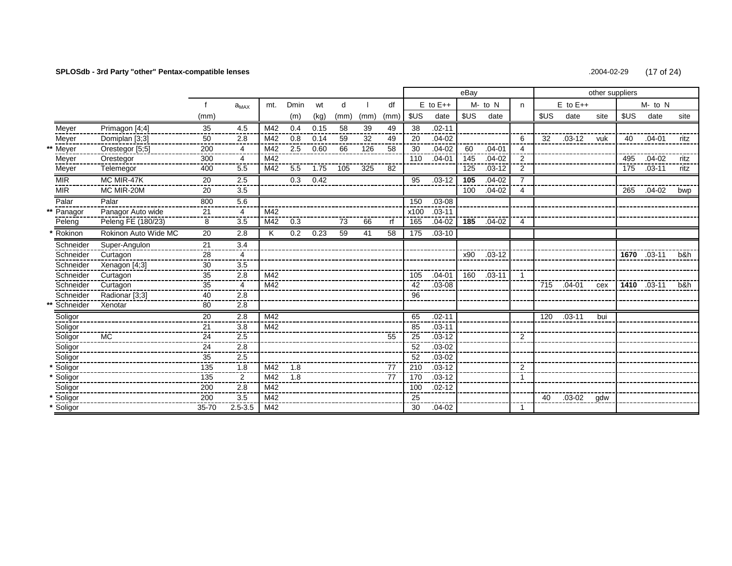# **SPLOSdb - 3rd Party "other" Pentax-compatible lenses** .2004-02-29 (17 of 24)

|                    |           |                      |                 |                  |     |      |      |      |      |                 |      |              | eBay |            |                        |      |              | other suppliers |      |             |      |
|--------------------|-----------|----------------------|-----------------|------------------|-----|------|------|------|------|-----------------|------|--------------|------|------------|------------------------|------|--------------|-----------------|------|-------------|------|
|                    |           |                      |                 | $a_{MAX}$        | mt. | Dmin | wt   | d    |      | df              |      | $E$ to $E++$ |      | $M - to N$ | n                      |      | $E$ to $E++$ |                 |      | M- to N     |      |
|                    |           |                      | (mm)            |                  |     | (m)  | (kg) | (mm) | (mm) | (mm)            | \$US | date         | \$US | date       |                        | \$US | date         | site            | \$US | date        | site |
| Meyer              |           | Primagon [4;4]       | 35              | 4.5              | M42 | 0.4  | 0.15 | 58   | 39   | 49              | 38   | $.02 - 11$   |      |            |                        |      |              |                 |      |             |      |
| Meyer              |           | Domiplan [3;3]       | 50              | 2.8              | M42 | 0.8  | 0.14 | 59   | 32   | 49              | 20   | $.04 - 02$   |      |            | 6                      | 32   | $.03 - 12$   | vuk             | 40   | $.04 - 01$  | ritz |
| Meyer              |           | Orestegor [5;5]      | 200             | 4                | M42 | 2.5  | 0.60 | 66   | 126  | 58              | 30   | $.04 - 02$   | 60   | $.04 - 01$ | $\boldsymbol{\Lambda}$ |      |              |                 |      |             |      |
| Meyer              |           | Orestegor            | 300             | 4                | M42 |      |      |      |      |                 | 110  | $.04 - 01$   | 145  | $.04 - 02$ | $\overline{2}$         |      |              |                 | 495  | $.04 - 02$  | ritz |
| Meyer              |           | Telemegor            | 400             | 5.5              | M42 | 5.5  | 1.75 | 105  | 325  | 82              |      |              | 125  | $.03 - 12$ | $\overline{2}$         |      |              |                 | 175  | $.03 - 11$  | ritz |
| <b>MIR</b>         |           | MC MIR-47K           | 20              | 2.5              |     | 0.3  | 0.42 |      |      |                 | 95   | $.03 - 12$   | 105  | $.04 - 02$ |                        |      |              |                 |      |             |      |
| <b>MIR</b>         |           | MC MIR-20M           | 20              | 3.5              |     |      |      |      |      |                 |      |              | 100  | $.04-02$   | 4                      |      |              |                 | 265  | $.04 - 02$  | bwp  |
| Palar              |           | Palar                | 800             | 5.6              |     |      |      |      |      |                 | 150  | $.03 - 08$   |      |            |                        |      |              |                 |      |             |      |
|                    | Panagor   | Panagor Auto wide    | 21              | 4                | M42 |      |      |      |      |                 | x100 | $.03 - 11$   |      |            |                        |      |              |                 |      |             |      |
|                    | Peleng    | Peleng FE (180/23)   | 8               | 3.5              | M42 | 0.3  |      | 73   | 66   | rf              | 165  | $.04 - 02$   | 185  | $.04 - 02$ | 4                      |      |              |                 |      |             |      |
|                    | Rokinon   | Rokinon Auto Wide MC | $\overline{20}$ | $\overline{2.8}$ | K   | 0.2  | 0.23 | 59   | 41   | $\overline{58}$ | 175  | $.03 - 10$   |      |            |                        |      |              |                 |      |             |      |
|                    | Schneider | Super-Angulon        | 21              | 3.4              |     |      |      |      |      |                 |      |              |      |            |                        |      |              |                 |      |             |      |
|                    | Schneider | Curtagon             | 28              | 4                |     |      |      |      |      |                 |      |              | x90  | $.03 - 12$ |                        |      |              |                 |      | 1670 .03-11 | b&h  |
|                    | Schneider | Xenagon [4;3]        | 30              | 3.5              |     |      |      |      |      |                 |      |              |      |            |                        |      |              |                 |      |             |      |
|                    | Schneider | Curtagon             | 35              | 2.8              | M42 |      |      |      |      |                 | 105  | $.04 - 01$   | 160  | $.03 - 11$ |                        |      |              |                 |      |             |      |
|                    | Schneider | Curtagon             | 35              | 4                | M42 |      |      |      |      |                 | 42   | $.03 - 08$   |      |            |                        | 715  | $.04 - 01$   | cex             |      | 1410 .03-11 | b&h  |
|                    | Schneider | Radionar [3:3]       | 40              | 2.8              |     |      |      |      |      |                 | 96   |              |      |            |                        |      |              |                 |      |             |      |
|                    | Schneider | Xenotar              | 80              | 2.8              |     |      |      |      |      |                 |      |              |      |            |                        |      |              |                 |      |             |      |
|                    | Soligor   |                      | 20              | 2.8              | M42 |      |      |      |      |                 | 65   | $.02 - 11$   |      |            |                        | 120  | $.03 - 11$   | bui             |      |             |      |
|                    | Soligor   |                      | 21              | 3.8              | M42 |      |      |      |      |                 | 85   | $.03 - 11$   |      |            |                        |      |              |                 |      |             |      |
|                    | Soligor   | <b>MC</b>            | 24              | 2.5<br>----      |     |      |      |      |      | 55              | 25   | $.03 - 12$   |      |            | 2                      |      |              |                 |      |             |      |
|                    | Soligor   |                      | 24              | 2.8              |     |      |      |      |      |                 | 52   | $.03 - 02$   |      |            |                        |      |              |                 |      |             |      |
|                    | Soligor   |                      | 35              | 2.5              |     |      |      |      |      |                 | 52   | $.03 - 02$   |      |            |                        |      |              |                 |      |             |      |
| Soligor            |           |                      | 135             | 1.8<br>----      | M42 | 1.8  |      |      |      | 77              | 210  | $.03 - 12$   |      |            | 2                      |      |              |                 |      |             |      |
| Soligor            |           |                      | 135             | 2                | M42 | 1.8  |      |      |      | 77              | 170  | $.03 - 12$   |      |            |                        |      |              |                 |      |             |      |
|                    | Soligor   |                      | 200             | 2.8              | M42 |      |      |      |      |                 | 100  | $.02 - 12$   |      |            |                        |      |              |                 |      |             |      |
| Soligor<br>Soligor |           |                      | 200             | 3.5              | M42 |      |      |      |      |                 | 25   |              |      |            |                        | 40   | $.03 - 02$   | adw             |      |             |      |
|                    |           |                      | 35-70           | $2.5 - 3.5$      | M42 |      |      |      |      |                 | 30   | $.04 - 02$   |      |            | 1                      |      |              |                 |      |             |      |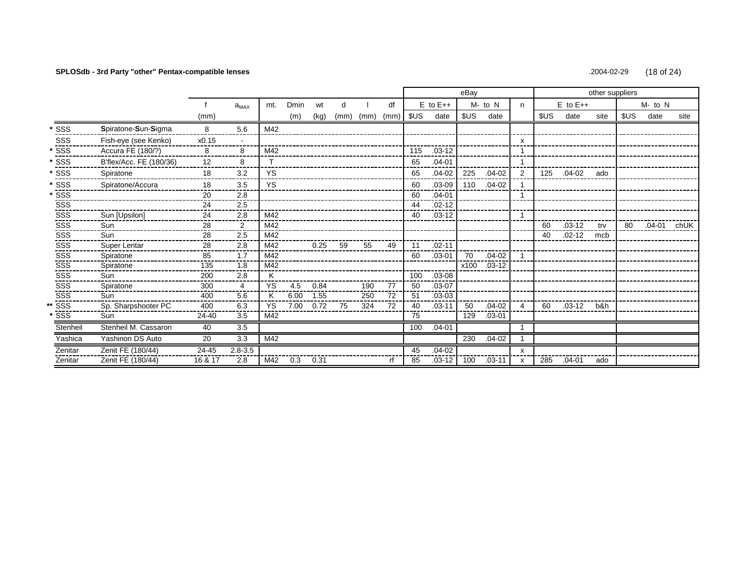# **SPLOSdb - 3rd Party "other" Pentax-compatible lenses** .2004-02-29 (18 of 24)

|                         |                         |         |             |           |      |      |      |      |      |      |              | eBay |            |                |     | other suppliers |      |      |         |      |
|-------------------------|-------------------------|---------|-------------|-----------|------|------|------|------|------|------|--------------|------|------------|----------------|-----|-----------------|------|------|---------|------|
|                         |                         |         | $a_{MAX}$   | mt.       | Dmin | wt   | d    |      | df   |      | $E$ to $E++$ |      | M- to N    | n              |     | $E$ to $E++$    |      |      | M- to N |      |
|                         |                         | (mm)    |             |           | (m)  | (kg) | (mm) | (mm) | (mm) | \$US | date         | \$US | date       |                | SUS | date            | site | \$US | date    | site |
| * SSS                   | Spiratone-Sun-Sigma     | 8       | 5.6         | M42       |      |      |      |      |      |      |              |      |            |                |     |                 |      |      |         |      |
| SSS<br>----             | Fish-eye (see Kenko)    | x0.15   |             |           |      |      |      |      |      |      |              |      |            | $\mathsf{x}$   |     |                 |      |      |         |      |
| SSS                     | Accura FE (180/?)       | 8       | 8           | M42       |      |      |      |      |      | 115  | $.03 - 12$   |      |            |                |     |                 |      |      |         |      |
| SSS                     | B'flex/Acc. FE (180/36) | 12      | 8           |           |      |      |      |      |      | 65   | $.04 - 01$   |      |            |                |     |                 |      |      |         |      |
| SSS                     | Spiratone               | 18      | 3.2         | YS        |      |      |      |      |      | 65   | $.04-02$     | 225  | $.04 - 02$ | $\overline{2}$ | 125 | .04-02          | ado  |      |         |      |
| SSS                     | Spiratone/Accura        | 18      | 3.5         | <b>YS</b> |      |      |      |      |      | 60   | $.03 - 09$   | 110  | $.04 - 02$ |                |     |                 |      |      |         |      |
| $*555$                  |                         | 20      | 2.8         |           |      |      |      |      |      | 60   | $.04 - 01$   |      |            |                |     |                 |      |      |         |      |
| SSS<br>SSS<br>SSS       |                         | 24      | 2.5         |           |      |      |      |      |      | 44   | $.02 - 12$   |      |            |                |     |                 |      |      |         |      |
|                         | Sun [Upsilon]           | 24      | 2.8         | M42       |      |      |      |      |      | 40   | $.03 - 12$   |      |            |                |     |                 |      |      |         |      |
| SSS <sup>-</sup>        | Sun                     | 28      | 2           | M42       |      |      |      |      |      |      |              |      |            |                | 60  | $.03 - 12$      | trv  | 80   | .04-01  | chUK |
| $\frac{1}{\sqrt{2}}$    | Sun                     | 28      | 2.5         | M42       |      |      |      |      |      |      |              |      |            |                | 40  | $.02 - 12$      | mcb  |      |         |      |
| sss<br>sss              | Super Lentar            | 28      | 2.8         | M42       |      | 0.25 | 59   | 55   | 49   | 11   | $.02 - 11$   |      |            |                |     |                 |      |      |         |      |
|                         | Spiratone               | 85      | 1.7         | M42       |      |      |      |      |      | 60   | $.03 - 01$   | 70   | $.04 - 02$ |                |     |                 |      |      |         |      |
| $rac{1}{\sqrt{2}}$      | Spiratone               | 135     | 1.8         | M42       |      |      |      |      |      |      |              | x100 | $.03 - 12$ |                |     |                 |      |      |         |      |
| SSS                     | Sun                     | 200     | 2.8         | K         |      |      |      |      |      | 100  | $.03 - 08$   |      |            |                |     |                 |      |      |         |      |
| SSS                     | Spiratone               | 300     | 4           | <b>YS</b> | 4.5  | 0.84 |      | 190  | 77   | 50   | $.03 - 07$   |      |            |                |     |                 |      |      |         |      |
| SSS                     | Sun                     | 400     | 5.6         |           | 6.00 | 1.55 |      | 250  | 72   | 51   | $.03 - 03$   |      |            |                |     |                 |      |      |         |      |
| $\overline{\text{sss}}$ | Sp. Sharpshooter PC     | 400     | 6.3         | <b>YS</b> | 7.00 | 0.72 | 75   | 324  | 72   | 40   | $.03 - 11$   | 50   | $.04 - 02$ | $\overline{4}$ | 60  | $.03 - 12$      | b&h  |      |         |      |
| $\overline{\text{ss}}$  | Sun                     | 24-40   | 3.5         | M42       |      |      |      |      |      | 75   |              | 129  | $.03 - 01$ |                |     |                 |      |      |         |      |
| Stenheil                | Stenheil M. Cassaron    | 40      | 3.5         |           |      |      |      |      |      | 100  | $.04 - 01$   |      |            |                |     |                 |      |      |         |      |
| Yashica                 | Yashinon DS Auto        | 20      | 3.3         | M42       |      |      |      |      |      |      |              | 230  | $.04 - 02$ |                |     |                 |      |      |         |      |
| Zenitar                 | Zenit FE (180/44)       | 24-45   | $2.8 - 3.5$ |           |      |      |      |      |      | 45   | $.04 - 02$   |      |            | $\mathsf{x}$   |     |                 |      |      |         |      |
| Zenitar                 | Zenit FE (180/44)       | 16 & 17 | 2.8         | M42       | 0.3  | 0.31 |      |      | rf.  | 85   | $.03 - 12$   | 100  | $.03 - 11$ |                | 285 | $.04 - 01$      | ado  |      |         |      |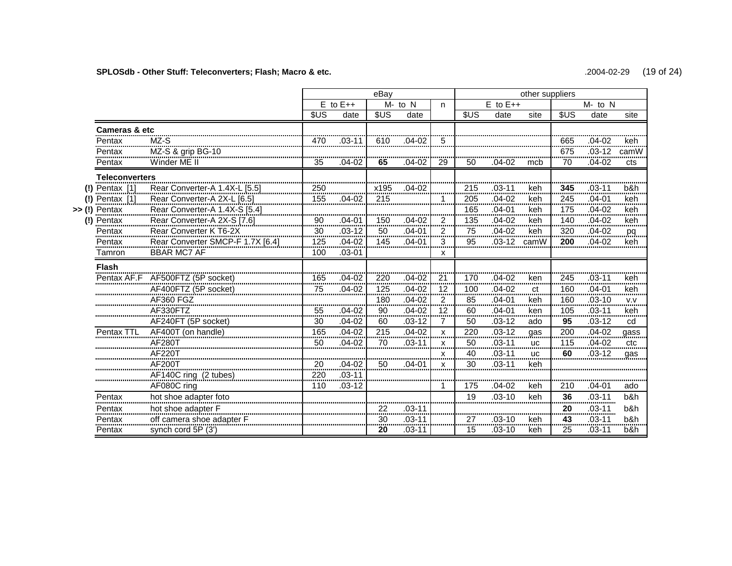# **SPLOSdb - Other Stuff: Teleconverters; Flash; Macro & etc.** .2004-02-29 (19 of 24)

|                       |                                                       |                   |                | eBay    |                |                    | other suppliers |                |                |                     |                |                             |  |  |
|-----------------------|-------------------------------------------------------|-------------------|----------------|---------|----------------|--------------------|-----------------|----------------|----------------|---------------------|----------------|-----------------------------|--|--|
|                       |                                                       |                   | $E$ to $E++$   |         | $M - to N$     | n.                 |                 | $E$ to $E++$   |                |                     | M- to N        |                             |  |  |
|                       |                                                       | \$US              | date           | \$US    | date           |                    | \$US            | date           | site           | <b>SUS</b>          | date           | site                        |  |  |
| Cameras & etc         |                                                       |                   |                |         |                |                    |                 |                |                |                     |                |                             |  |  |
| Pentax                | MZ-S                                                  | 470               | $03-11$        | 610     | .04-02         | 5                  |                 |                |                | 665                 | $.04 - 02$     | keh                         |  |  |
| Pentax                | MZ-S & grip BG-10                                     |                   |                |         |                |                    |                 |                |                | 675                 | $.03-12$       | camW                        |  |  |
| Pentax                | Winder ME II                                          | 35                | .04-02         | 65      | $.04 - 02$     | 29                 | 50              | $.04 - 02$     | mcb            | 70                  | $.04 - 02$     | cts                         |  |  |
| <b>Teleconverters</b> |                                                       |                   |                |         |                |                    |                 |                |                |                     |                |                             |  |  |
| Pentax [1]            | Rear Converter-A 1.4X-L [5.5]                         | 250               |                | x195    | $.04 - 02$     |                    | 215             | .03-11         | keh            | 345                 | $.03 - 11$     | b&h                         |  |  |
| Pentax [1]            | Rear Converter-A 2X-L [6.5]                           | ,,,,,,,,,,<br>155 | $.04 - 02$     | 215     |                |                    | <br>205<br>     | $.04 - 02$     | <br>keh<br>    | --------<br>245<br> | $.04 - 01$     | <br>keh<br>                 |  |  |
| Pentax                | Rear Converter-A 1.4X-S [5.4]                         |                   |                |         |                |                    | 165             | $.04 - 01$     | keh            | 175                 | $.04 - 02$     | keh                         |  |  |
| Pentax                | Rear Converter-A 2X-S [7.6]<br>Rear Converter K T6-2X | 90<br>            | .04-01         | 150     | $.04 - 02$     | 2<br>              | 135<br>         | $.04 - 02$     | keh<br>        | 140<br>             | $.04 - 02$     | keh<br>                     |  |  |
| Pentax                |                                                       | 30                | $.03 - 12$     | 50      | $.04 - 01$     | $\overline{2}$<br> | 75              | $.04 - 02$     | keh            | 320<br>             | $.04 - 02$     | pq                          |  |  |
| Pentax                | Rear Converter SMCP-F 1.7X [6.4]                      | 125               | $.04 - 02$     | 145     | .04-01         | 3                  | 95              | $.03 - 12$     | camW           | 200                 | $.04 - 02$     | keh                         |  |  |
| Tamron                | <b>BBAR MC7 AF</b>                                    | 100               | $.03 - 01$     |         |                | x                  |                 |                |                |                     |                |                             |  |  |
| <b>Flash</b>          |                                                       |                   |                |         |                |                    |                 |                |                |                     |                |                             |  |  |
| Pentax AF.F           | AF500FTZ (5P socket)                                  | 165<br>           | $.04 - 02$     | 220     | $.04 - 02$     | 21<br>             | 170             | $.04 - 02$     | ken            | 245                 | $.03 - 11$     | keh                         |  |  |
|                       | AF400FTZ (5P socket)                                  | 75                | $.04 - 02$     | 125     | $.04 - 02$     | 12<br>-----        | 100             | $.04 - 02$     | ct<br>         | 160                 | $.04 - 01$     | keh<br>                     |  |  |
|                       | AF360 FGZ                                             |                   |                | 180<br> | $.04 - 02$<br> | $\overline{c}$<br> | 85<br>          | $.04 - 01$<br> | keh<br>        | 160<br>             | $.03 - 10$<br> | $\mathsf{V}.\mathsf{V}$<br> |  |  |
|                       | AF330FTZ                                              | 55<br>            | .04-02         | 90<br>  | .04-02<br>     | 12<br>             | 60<br>          | .04-01         | ken<br>        | 105<br>             | $.03 - 11$<br> | keh<br>                     |  |  |
|                       | AF240FT (5P socket)                                   | 30                | $.04 - 02$     | 60      | $.03 - 12$     |                    | 50              | $.03 - 12$     | ado            | 95                  | $.03 - 12$     | cd                          |  |  |
| Pentax TTL            | AF400T (on handle)                                    | 165<br>           | $.04 - 02$<br> | 215<br> | $.04 - 02$<br> | $\mathsf{x}$<br>   | 220<br>         | $.03 - 12$<br> | qas<br>.       | 200<br>             | $.04 - 02$<br> | qass<br>.                   |  |  |
|                       | AF280T                                                | 50                | .04-02         | 70      | .03-11         | X                  | 50              | $.03 - 11$     | <b>UC</b><br>. | 115                 | $.04 - 02$     | ctc<br>                     |  |  |
|                       | AF220T<br>                                            |                   |                |         |                | x<br>              | 40<br>          | $.03 - 11$     | <b>uc</b><br>  | 60                  | .03-12         | qas                         |  |  |
|                       | <b>AF200T</b>                                         | 20<br>            | $.04 - 02$     | 50      | $.04 - 01$     | x<br>              | 30              | $.03 - 11$     | keh            |                     |                |                             |  |  |
|                       | AF140C ring (2 tubes)                                 | 220<br>           | $.03 - 11$<br> |         |                |                    |                 |                |                |                     |                |                             |  |  |
|                       | AF080C ring                                           | 110               | $.03 - 12$     |         |                |                    | 175             | .04-02         | keh            | 210                 | .04-01         | ado                         |  |  |
| Pentax                | hot shoe adapter foto                                 |                   |                |         |                |                    | 19              | $.03 - 10$     | keh            | 36<br>              | $.03 - 11$<br> | b&h                         |  |  |
| Pentax<br>            | hot shoe adapter F                                    |                   |                |         |                |                    |                 |                |                | 20<br>              | $.03 - 11$<br> | b&h                         |  |  |
| Pentax<br>            | off camera shoe adapter F                             |                   |                | 30<br>  | $.03 - 11$     |                    | 27<br>          | .03-10         | keh<br>        | 43<br>min           | $.03 - 11$     | b&h                         |  |  |
| Pentax                | synch cord 5P (3')                                    |                   |                | 20      | $.03 - 11$     |                    | 15              | $.03 - 10$     | keh            | 25                  | $.03 - 11$     | b&h                         |  |  |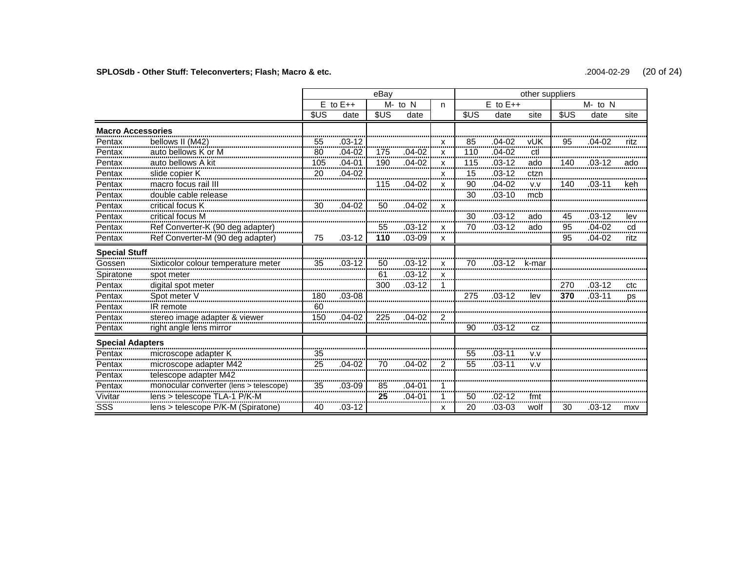# **SPLOSdb - Other Stuff: Teleconverters; Flash; Macro & etc.** .2004-02-29 (20 of 24)

|                          |                                        |                 |                         | eBay          |            |        |                  |              | other suppliers |      |            | site<br><br>ritz |  |  |  |  |  |  |  |  |
|--------------------------|----------------------------------------|-----------------|-------------------------|---------------|------------|--------|------------------|--------------|-----------------|------|------------|------------------|--|--|--|--|--|--|--|--|
|                          |                                        |                 | $E$ to $E++$            |               | $M - to N$ | n      |                  | $E$ to $E++$ |                 |      | $M - to N$ |                  |  |  |  |  |  |  |  |  |
|                          |                                        | <b>SUS</b>      | date                    | <b>SUS</b>    | date       |        | \$US             | date         | site            | \$US | date       |                  |  |  |  |  |  |  |  |  |
| <b>Macro Accessories</b> |                                        |                 |                         |               |            |        |                  |              |                 |      |            |                  |  |  |  |  |  |  |  |  |
| Pentax                   | bellows II (M42)                       | 55<br>          | $.03 - 12$              |               |            | x      | 85               | $.04 - 02$   | vUK             | 95   | .04-02     |                  |  |  |  |  |  |  |  |  |
| Pentax<br>               | auto bellows K or M                    | $\frac{80}{2}$  | .04-02<br>              | 175<br>.      | 04-02      | x<br>. | 110<br>,,,,,,,,, | $.04 - 02$   | ctl             |      |            |                  |  |  |  |  |  |  |  |  |
| Pentax                   | auto bellows A kit                     | $\frac{105}{2}$ | .04-01<br>              | 190           | .04-02     | X<br>  | 115<br>          | .03-12       | ado             | 140  |            | ado              |  |  |  |  |  |  |  |  |
| Pentax<br>               | slide copier K                         | 20              | $.04 - 02$              |               |            | x<br>  | $\frac{15}{2}$   | .03-12       | ctzn<br>        |      |            |                  |  |  |  |  |  |  |  |  |
| Pentax                   | macro focus rail III                   |                 |                         | 115           | $.04 - 02$ | X      | 90<br>.          | $.04-02$     | V.V             | 140  | $.03 - 11$ | keh              |  |  |  |  |  |  |  |  |
| Pentax                   | double cable release                   |                 |                         |               |            |        | 30               | $.03 - 10$   | mcb             |      |            |                  |  |  |  |  |  |  |  |  |
| Pentax                   | critical focus K                       | 30              | $.04 - 02$              | 50            | 04-02      | X      |                  |              |                 |      |            |                  |  |  |  |  |  |  |  |  |
| Pentax                   | critical focus M                       |                 |                         |               |            |        | 30               | .03-12       | ado             | 45   | .03-12     | lev<br>          |  |  |  |  |  |  |  |  |
| Pentax<br>.              | Ref Converter-K (90 deg adapter)       |                 |                         | 55            | $.03 - 12$ | x      | 70               | $.03 - 12$   | ado             | 95   | $.04 - 02$ | cd<br>           |  |  |  |  |  |  |  |  |
| Pentax                   | Ref Converter-M (90 deg adapter)       | 75              | $.03 - 12$              | 110           | $.03 - 09$ | x      |                  |              |                 | 95   | $.04 - 02$ | ritz             |  |  |  |  |  |  |  |  |
| <b>Special Stuff</b>     |                                        |                 |                         |               |            |        |                  |              |                 |      |            |                  |  |  |  |  |  |  |  |  |
| Gossen                   | Sixticolor colour temperature meter    | 35              | .03-12                  | 50<br>------- | $.03 - 12$ | X      | 70               | $.03 - 12$   | k-mar           |      |            |                  |  |  |  |  |  |  |  |  |
| Spiratone                | spot meter                             |                 |                         | 61            | $.03 - 12$ | X      |                  |              |                 |      |            |                  |  |  |  |  |  |  |  |  |
| Pentax                   | digital spot meter                     |                 |                         | 300           | $.03 - 12$ |        |                  |              |                 | 270  | .03-12     | ctc<br>          |  |  |  |  |  |  |  |  |
| Pentax                   | Spot meter V                           | 180<br>         | $.03 - 08$              |               |            |        | 275              | በ3-12        | lev             | 370  | .03-11     | ps               |  |  |  |  |  |  |  |  |
| Pentax                   | IR remote                              | 60<br>          |                         |               |            |        |                  |              |                 |      |            |                  |  |  |  |  |  |  |  |  |
| Pentax                   | stereo image adapter & viewer          | 150             | $.04 - 02$              | 225           | .04-02     | 2      |                  |              |                 |      |            |                  |  |  |  |  |  |  |  |  |
| Pentax                   | right angle lens mirror                |                 |                         |               |            |        | 90               | $.03 - 12$   | CZ              |      |            |                  |  |  |  |  |  |  |  |  |
| <b>Special Adapters</b>  |                                        |                 |                         |               |            |        |                  |              |                 |      |            |                  |  |  |  |  |  |  |  |  |
| Pentax                   | microscope adapter K                   | 35<br>          |                         |               |            |        | 55<br>           | .03-11       | v.v             |      |            |                  |  |  |  |  |  |  |  |  |
| Pentax                   | microscope adapter M42                 | 25              | $.04 - 02$              | 70            | .04-02     | 2      | 55               | $.03 - 1$    | v.v             |      |            |                  |  |  |  |  |  |  |  |  |
| Pentax                   | telescope adapter M42                  |                 |                         |               |            |        |                  |              |                 |      |            |                  |  |  |  |  |  |  |  |  |
| Pentax                   | monocular converter (lens > telescope) | 35              | .03-09                  | 85            | .04-01     |        |                  |              |                 |      |            |                  |  |  |  |  |  |  |  |  |
| Vivitar                  | lens > telescope TLA-1 P/K-M           |                 |                         | 25            | .04-01     |        | 50               | .02-12       | fmt             |      |            |                  |  |  |  |  |  |  |  |  |
| <b>SSS</b>               | lens > telescope P/K-M (Spiratone)     | 40              | ,,,,,,,,,,,,,<br>.03-12 |               |            | x      | <br>20           | $.03 - 03$   | wolf            | 30   | .03-12     | mxv              |  |  |  |  |  |  |  |  |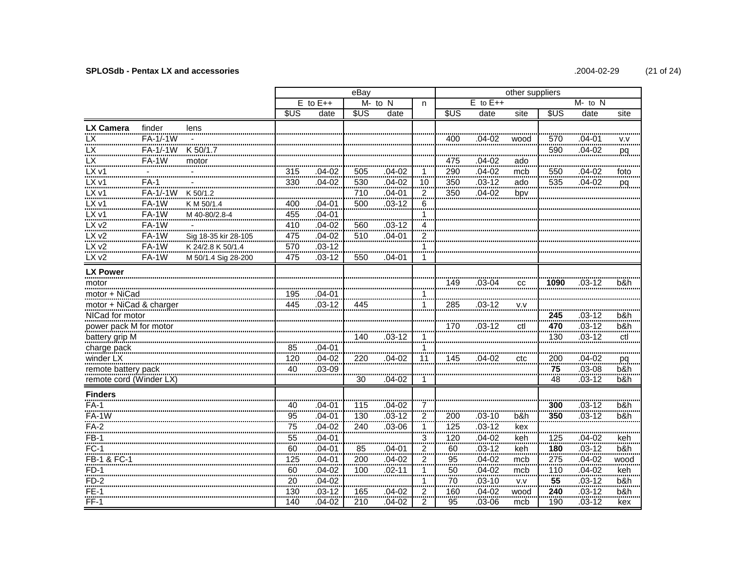### **SPLOSdb - Pentax LX and accessories**

| .2004-02-29 | (21 of 24) |
|-------------|------------|

|                            |              |                      |            |                | eBay       |                 |                    |                          |              | other suppliers |                |                |           |  |  |  |  |  |
|----------------------------|--------------|----------------------|------------|----------------|------------|-----------------|--------------------|--------------------------|--------------|-----------------|----------------|----------------|-----------|--|--|--|--|--|
|                            |              |                      |            | $E$ to $E++$   |            | $M - to N$      | n.                 |                          | $E$ to $E++$ |                 |                | $M$ - to $N$   |           |  |  |  |  |  |
|                            |              |                      | \$US       | date           | <b>SUS</b> | date            |                    | \$US                     | date         | site            | \$US           | date           | site      |  |  |  |  |  |
| <b>LX Camera</b>           | finder       | lens                 |            |                |            |                 |                    |                          |              |                 |                |                |           |  |  |  |  |  |
| <b>LX</b>                  | FA-1/-1W     |                      |            |                |            |                 |                    | 400                      | .04-02       | wood            | 570            | $.04 - 01$     | v.v       |  |  |  |  |  |
| <b>LX</b>                  | FA-1/-1W     | K 50/1.7             |            |                |            |                 |                    |                          |              |                 | 590            | $.04 - 02$     | pq        |  |  |  |  |  |
| LX                         | <b>FA-1W</b> | motor                |            |                |            |                 |                    | 475                      | $.04 - 02$   | ado             |                |                |           |  |  |  |  |  |
| LX v1                      |              |                      | 315        | .04-02         | 505        | .04-02          | 1                  | 290                      | $.04 - 02$   | mcb             | 550            | .04-02         | <br>foto  |  |  |  |  |  |
| LX v1                      | $FA-1$       |                      | 330        | $.04 - 02$     | 530        | $.04 - 02$      | 10                 | 350                      | $.03 - 12$   | ado             | 535            | $.04 - 02$     | pq        |  |  |  |  |  |
| LX v1                      | FA-1/-1W     | K 50/1.2             |            |                | 710        | $.04 - 01$      | <br>$\overline{2}$ | 350                      | $.04 - 02$   | bpv             |                |                |           |  |  |  |  |  |
| $LX$ $v1$                  | FA-1W        | K M 50/1.4           | 400        | $.04 - 01$     | 500        | $.03 - 12$      | 6                  |                          |              |                 |                |                |           |  |  |  |  |  |
| $LX$ v1                    | <b>FA-1W</b> | M 40-80/2.8-4        | $-455$     | $.04 - 01$     |            |                 | $\mathbf 1$        |                          |              |                 |                |                |           |  |  |  |  |  |
| LXv2                       | FA-1W        |                      | 410        | $.04 - 02$     | 560        | $.03 - 12$      | 4                  |                          |              |                 |                |                |           |  |  |  |  |  |
| LXv2<br>                   | FA-1W        | Sig 18-35 kir 28-105 | 475<br>    | $.04 - 02$     | 510        | $.04 - 01$      | $\frac{2}{2}$      |                          |              |                 |                |                |           |  |  |  |  |  |
| LXv2                       | FA-1W        | K 24/2.8 K 50/1.4    | 570        | $.03 - 12$     |            |                 | 1                  |                          |              |                 |                |                |           |  |  |  |  |  |
| LX v2                      | FA-1W        | M 50/1.4 Sig 28-200  | 475        | .03-12         | 550        | .04-01          |                    |                          |              |                 |                |                |           |  |  |  |  |  |
| <b>LX Power</b>            |              |                      |            |                |            |                 |                    |                          |              |                 |                |                |           |  |  |  |  |  |
| motor                      |              |                      |            |                |            |                 |                    | 149                      | $.03 - 04$   | CC              | 1090           | $.03 - 12$     | b&h       |  |  |  |  |  |
| <br>motor + NiCad          |              |                      | 195        | .04-01         |            |                 |                    |                          |              |                 |                |                |           |  |  |  |  |  |
| motor + MiCad & charger    |              |                      | <br>445    | <br>.03-12     | 445        |                 | 1                  | 285                      | <br>.03-12   | V.V             |                |                |           |  |  |  |  |  |
| NICad for motor            |              |                      |            |                |            |                 |                    |                          |              |                 | 245            | $.03 - 12$     | b&h       |  |  |  |  |  |
| power pack M for motor     |              |                      |            |                |            |                 |                    | 170                      | .03-12       | ctl             | 470            | $.03 - 12$     | $b$ &h    |  |  |  |  |  |
| battery grip M             |              |                      |            |                | 140        | .03-12          |                    |                          |              |                 | <br>130        | <br>$.03 - 12$ | ctl       |  |  |  |  |  |
| charge pack                |              |                      | 85         | $.04 - 01$     |            |                 |                    |                          |              |                 |                |                |           |  |  |  |  |  |
| winder LX                  |              |                      | <br>120    | <br>.04-02     | 220        | $04-02$         | 11                 | 145                      | 04-02        | ctc             | 200            | $.04-02$       | pq        |  |  |  |  |  |
| remote battery pack        |              |                      | <br>40<br> | <br>.03-09<br> |            |                 |                    |                          |              |                 | $\frac{1}{75}$ | $03-08$        | b&h       |  |  |  |  |  |
| remote cord (Winder LX)    |              |                      |            |                | 30         | $.04 - 02$      | 1.                 |                          |              |                 | <br>48         | $.03 - 12$     | .<br>b&h  |  |  |  |  |  |
| <b>Finders</b>             |              |                      |            |                |            |                 |                    |                          |              |                 |                |                |           |  |  |  |  |  |
| $FA-1$                     |              |                      | <br>40     | $.04 - 01$     | 115        | $.04 - 02$      | 7                  |                          |              |                 | 300            | $.03 - 12$     | b&h       |  |  |  |  |  |
| <b>FA-1W</b>               |              |                      | <br>95     | $.04 - 01$     | 130        | $.03 - 12$      | 2                  | 200                      | $.03 - 10$   | b&h             | 350            | $.03 - 12$     | b&h       |  |  |  |  |  |
|                            |              |                      | <br>75     | .04-02         | <br>240    | .03-06          | $\mathbf 1$        | 125                      | $.03-12$     | <br>kex         |                |                |           |  |  |  |  |  |
| $FB-1$                     |              |                      | 55         | $.04 - 01$     |            |                 | 3                  | 120                      | $.04 - 02$   | keh             | 125            | $.04 - 02$     | keh       |  |  |  |  |  |
| <br>FC-1                   |              |                      | .<br>60    | 04-01          | 85         | $.04 - 01$      | <br>$\frac{2}{2}$  | .<br>60                  | $.03-12$     | keh             | 180            | $.03 - 12$     | b&h       |  |  |  |  |  |
| <br>FB-1 & FC-1            |              |                      | <br>125    | <br>$.04 - 01$ | 200        | .<br>$.04 - 02$ | $\frac{2}{2}$      | <br>$\frac{95}{2}$       | $.04 - 02$   | <br>mcb         | <br>275        | $.04 - 02$     | .<br>wood |  |  |  |  |  |
| $FD-1$                     |              |                      | 60         | $.04 - 02$     | 100        | $.02 - 11$      | 1                  | 50                       | $.04 - 02$   | <br>mcb         | <br>110        | $.04 - 02$     | keh       |  |  |  |  |  |
| . <del>. .</del><br>$FD-2$ |              |                      | 20         | $.04 - 02$     |            |                 | 1                  | . <del>. .</del> .<br>70 | $.03 - 10$   | <br>V.V         | 55             | $.03 - 12$     | b&h       |  |  |  |  |  |
| $FE-1$                     |              |                      | 130        | $.03 - 12$     | 165        | .04-02          | $\overline{c}$     | 160                      | $.04 - 02$   | wood            | 240            | $.03 - 12$     | b&h       |  |  |  |  |  |
| $FF-1$                     |              |                      | 140        | $.04 - 02$     | 210        | $.04 - 02$      | $\overline{2}$     | 95                       | .03-06       | mcb             | 190            | $.03 - 12$     | kex       |  |  |  |  |  |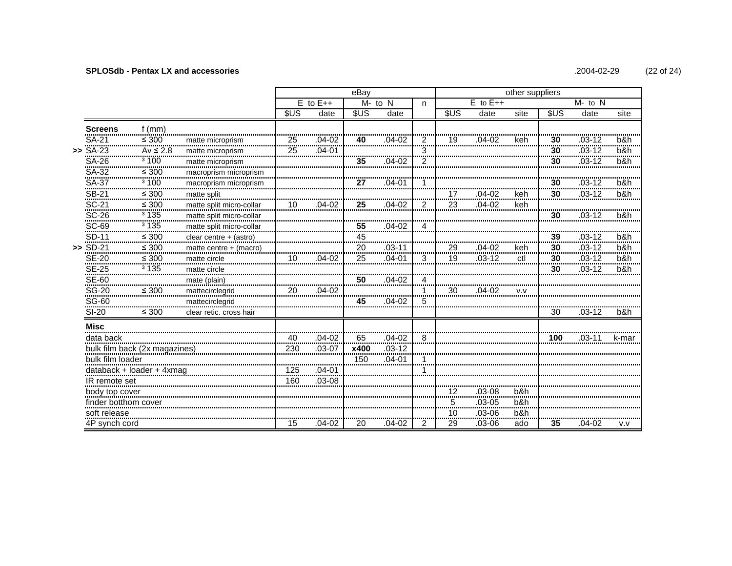#### **SPLOSdb - Pentax LX and accessories**

|                   |                         |                               |                          |            |                | eBav    |            |                   | other suppliers |                |         |        |                           |          |  |  |
|-------------------|-------------------------|-------------------------------|--------------------------|------------|----------------|---------|------------|-------------------|-----------------|----------------|---------|--------|---------------------------|----------|--|--|
|                   |                         |                               |                          |            | $E$ to $E++$   |         | $M - to N$ | n                 |                 | $E$ to $E++$   |         |        | $M$ - to $N$              |          |  |  |
|                   |                         |                               |                          | <b>SUS</b> | date           | \$US    | date       |                   | \$US            | date           | site    | \$US   | date                      | site     |  |  |
|                   | <b>Screens</b>          | $f$ (mm)                      |                          |            |                |         |            |                   |                 |                |         |        |                           |          |  |  |
|                   | SA-21                   | <br>$\leq 300$                | matte microprism         |            | .04-02         | 40      | .04-02     | ?                 | 19              | 04-02          | keh     | 30     | $.03 - 12$                | b&h      |  |  |
| >>                | SA-23                   | <br>$Av \leq 2.8$             | matte microprism         | 25         | <br>.04-01     |         |            | 3                 |                 |                |         | <br>30 | <del></del><br>$.03 - 12$ | b&h      |  |  |
|                   |                         | 3100                          | matte microprism<br>     |            |                | 35      | 04-02      | <br>$\frac{2}{2}$ |                 |                |         | <br>30 | $.03 - 12$                | <br>b&h  |  |  |
|                   | SA-26<br>SA-32          | <br>$\leq 300$<br>            | macroprism microprism    |            |                |         |            |                   |                 |                |         |        |                           |          |  |  |
|                   | SA-37<br>               | <sup>3</sup> 100              | macroprism microprism    |            |                | 27      | .04-01     |                   |                 |                |         | 30     | $.03 - 12$                | b&h      |  |  |
|                   | SB-21<br>SC-21          | $\leq 300$<br>. <del>.</del>  | matte split              |            |                |         |            |                   | 17<br>          | 04-02          | keh     | 30     | $.03 - 12$                | b&h      |  |  |
|                   |                         | $\leq 300$                    | matte split micro-collar | 10         | .04-02         | 25<br>. | $.04 - 02$ |                   | 23<br>.         | $.04 - 02$     | keh     |        |                           |          |  |  |
|                   | $SC-26$                 | 3135                          | matte split micro-collar |            |                |         |            |                   |                 |                |         | 30     | $03-12$                   | b&h      |  |  |
|                   | SC-69<br>SD-11          | 3135<br>                      | matte split micro-collar |            |                | .55     | .04-02     | 4                 |                 |                |         |        |                           |          |  |  |
|                   |                         | $\leq 300$                    | clear centre + (astro)   |            |                | 45<br>  |            |                   |                 |                |         | 39<br> | $.03 - 12$                | b&h<br>. |  |  |
|                   | $>$ SD-21               | $\leq 300$                    | matte centre + (macro)   |            |                | 20      | .03-11     |                   | 29              | 04-02          | keh     | 30     | $.03 - 12$                | b&h      |  |  |
|                   | SE-20<br>SE-25<br>SE-60 | $\leq 300$                    | matte circle             | 10         | $.04 - 02$     | 25      | $.04 - 01$ | 3                 | 19              | $.03 - 12$     | ctl     | 30<br> | $.03-12$                  | b&h      |  |  |
|                   |                         | $\frac{1}{3}$ 135             | matte circle             |            |                |         |            |                   |                 |                |         | 30     | $.03 - 12$                | b&h      |  |  |
|                   |                         |                               | mate (plain)             |            |                | 50      | $.04 - 02$ | 4                 |                 |                |         |        |                           |          |  |  |
|                   | $\frac{$640}{$6-20}$    | $\leq 300$                    | mattecirclegrid          | 20         | $.04 - 02$     |         |            | 1<br>             | 30              | $.04 - 02$     | v.v     |        |                           |          |  |  |
|                   |                         |                               | mattecirclegrid          |            |                | 45      | $.04 - 02$ | 5                 |                 |                |         |        |                           |          |  |  |
|                   | <b>SI-20</b>            | $\leq 300$                    | clear retic. cross hair  |            |                |         |            |                   |                 |                |         | 30     | $.03 - 12$                | b&h      |  |  |
|                   | <b>Misc</b>             |                               |                          |            |                |         |            |                   |                 |                |         |        |                           |          |  |  |
|                   | data back               |                               |                          | 40<br>     | $.04 - 02$<br> | 65<br>  | $.04 - 02$ | 8                 |                 |                |         | 100    | $.03 - 11$                | k-ma⊧    |  |  |
|                   |                         | bulk film back (2x magazines) |                          | 230        | $.03 - 07$     | x400    | .03-12     |                   |                 |                |         |        |                           |          |  |  |
|                   | bulk film loader        |                               |                          |            |                | 150     | $.04 - 01$ | 1                 |                 |                |         |        |                           |          |  |  |
|                   |                         | databack + loader + 4xmag     |                          | 125        | $.04 - 01$     |         |            | 1                 |                 |                |         |        |                           |          |  |  |
|                   | IR remote set           |                               |                          | 160        | $.03 - 08$     |         |            |                   |                 |                |         |        |                           |          |  |  |
|                   | body top cover          |                               |                          |            |                |         |            |                   | 12              | $.03 - 08$     | b&h<br> |        |                           |          |  |  |
|                   | finder botthom cover    |                               |                          |            |                |         |            |                   | 5<br>           | $.03 - 05$<br> | b&h     |        |                           |          |  |  |
| soft release      |                         |                               |                          |            |                |         |            | 10<br>            | .03-06<br>      | <br>b&h        |         |        |                           |          |  |  |
| <br>4P synch cord |                         |                               | 15                       | $.04 - 02$ | 20             | .04-02  | 2          | 29                | $.03 - 06$      | ado            | 35      | .04-02 | v.v                       |          |  |  |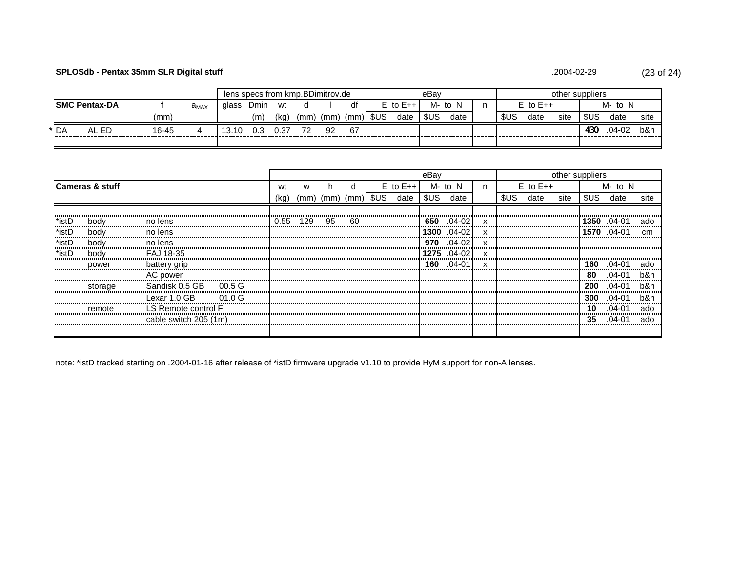# **SPLOSdb - Pentax 35mm SLR Digital stuff** (23 of 24)

#### .2004-02-29

|                      |            |       |                     | lens specs from kmp.BDimitrov.de |      |      |      |     |      |                             |      | eBav         |      | other suppliers |         |      |      |        |      |  |
|----------------------|------------|-------|---------------------|----------------------------------|------|------|------|-----|------|-----------------------------|------|--------------|------|-----------------|---------|------|------|--------|------|--|
| <b>SMC Pentax-DA</b> |            |       | ${\rm a}_{\rm MAX}$ | alass                            | Dmin | wt   |      |     |      | N<br>M-to<br>$E$ to $E++$ . |      | $E$ to $E++$ |      |                 | M- to N |      |      |        |      |  |
|                      |            | (mm)  |                     |                                  | (m)  | (kg, | 'mm) | (mm | (mm) | SUS                         | date | \$US         | date | \$US            | date    | site | \$US | date   | site |  |
| * DA                 | . ED<br>ΔI | 16-45 |                     | 3.10                             | 0.3  | 0.37 | 72   | 92  | 67   |                             |      |              |      |                 |         |      | 430  | .04-02 | b&h  |  |
|                      |            |       |                     |                                  |      |      |      |     |      |                             |      |              |      |                 |         |      |      |        |      |  |

|       |                               |                |                   |      |                            |    |    |              | eBay  |            |   |       | other suppliers |      |      |             |      |  |
|-------|-------------------------------|----------------|-------------------|------|----------------------------|----|----|--------------|-------|------------|---|-------|-----------------|------|------|-------------|------|--|
|       | <b>Cameras &amp; stuff</b>    |                |                   | wt   |                            |    |    | $E$ to $E++$ |       | M- to N    | n |       | $E$ to $E++$    |      |      | M- to N     |      |  |
|       |                               |                |                   | (kg) | $(mm)$ $(mm)$ $(mm)$ $SUS$ |    |    | date         | \$US. | date       |   | \$US. | date            | site | \$US | date        | site |  |
|       |                               |                |                   |      |                            |    |    |              |       |            |   |       |                 |      |      |             |      |  |
| *istD | bodv                          | no lens        |                   | 0.55 | 129                        | 95 | 60 |              | 650   | $.04-02$   |   |       |                 |      |      | 1350 .04-01 | ado  |  |
| *istD | bodv                          | no lens        |                   |      |                            |    |    |              | 1300  | $.04 - 02$ |   |       |                 |      | 1570 | .04-01      |      |  |
| *istD | bodv                          | no lens        |                   |      |                            |    |    |              | 970   | .04-02     |   |       |                 |      |      |             |      |  |
| *istD | body                          | FAJ 18-35      |                   |      |                            |    |    |              | 1275. | $.04 - 02$ |   |       |                 |      |      |             |      |  |
|       | power                         | battery grip   |                   |      |                            |    |    |              | 160   | .04-01     |   |       |                 |      | 160  | .04-01      | ado  |  |
|       |                               | AC power       |                   |      |                            |    |    |              |       |            |   |       |                 |      | 80   | .04-01      | b&h  |  |
|       | storage                       | Sandisk 0.5 GB | 00.5 <sub>G</sub> |      |                            |    |    |              |       |            |   |       |                 |      | 200  | በ4-በ1       | h&h  |  |
|       |                               | Lexar 1.0 GB   | 01.0G             |      |                            |    |    |              |       |            |   |       |                 |      | 300  | .04-01      | b&h  |  |
|       | LS Remote control F<br>remote |                |                   |      |                            |    |    |              |       |            |   |       |                 |      | 10   | 04-01       | ado  |  |
|       | cable switch 205 (1m)         |                |                   |      |                            |    |    |              |       |            |   |       |                 |      | 35   | 04-01       | ado  |  |
|       |                               |                |                   |      |                            |    |    |              |       |            |   |       |                 |      |      |             |      |  |

note: \*istD tracked starting on .2004-01-16 after release of \*istD firmware upgrade v1.10 to provide HyM support for non-A lenses.